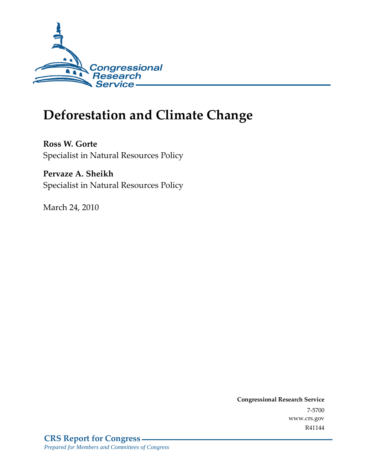

# **Deforestation and Climate Change**

**Ross W. Gorte**  Specialist in Natural Resources Policy

**Pervaze A. Sheikh**  Specialist in Natural Resources Policy

March 24, 2010

**Congressional Research Service** 7-5700 www.crs.gov R41144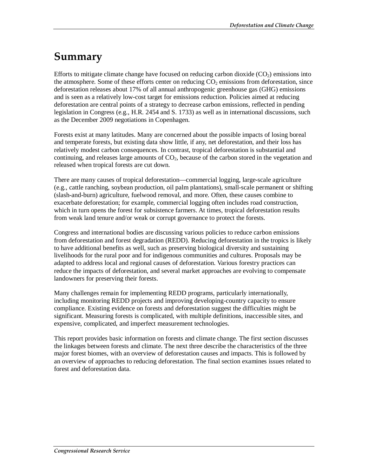# **Summary**

Efforts to mitigate climate change have focused on reducing carbon dioxide  $(CO<sub>2</sub>)$  emissions into the atmosphere. Some of these efforts center on reducing  $CO<sub>2</sub>$  emissions from deforestation, since deforestation releases about 17% of all annual anthropogenic greenhouse gas (GHG) emissions and is seen as a relatively low-cost target for emissions reduction. Policies aimed at reducing deforestation are central points of a strategy to decrease carbon emissions, reflected in pending legislation in Congress (e.g., H.R. 2454 and S. 1733) as well as in international discussions, such as the December 2009 negotiations in Copenhagen.

Forests exist at many latitudes. Many are concerned about the possible impacts of losing boreal and temperate forests, but existing data show little, if any, net deforestation, and their loss has relatively modest carbon consequences. In contrast, tropical deforestation is substantial and continuing, and releases large amounts of  $CO<sub>2</sub>$ , because of the carbon stored in the vegetation and released when tropical forests are cut down.

There are many causes of tropical deforestation—commercial logging, large-scale agriculture (e.g., cattle ranching, soybean production, oil palm plantations), small-scale permanent or shifting (slash-and-burn) agriculture, fuelwood removal, and more. Often, these causes combine to exacerbate deforestation; for example, commercial logging often includes road construction, which in turn opens the forest for subsistence farmers. At times, tropical deforestation results from weak land tenure and/or weak or corrupt governance to protect the forests.

Congress and international bodies are discussing various policies to reduce carbon emissions from deforestation and forest degradation (REDD). Reducing deforestation in the tropics is likely to have additional benefits as well, such as preserving biological diversity and sustaining livelihoods for the rural poor and for indigenous communities and cultures. Proposals may be adapted to address local and regional causes of deforestation. Various forestry practices can reduce the impacts of deforestation, and several market approaches are evolving to compensate landowners for preserving their forests.

Many challenges remain for implementing REDD programs, particularly internationally, including monitoring REDD projects and improving developing-country capacity to ensure compliance. Existing evidence on forests and deforestation suggest the difficulties might be significant. Measuring forests is complicated, with multiple definitions, inaccessible sites, and expensive, complicated, and imperfect measurement technologies.

This report provides basic information on forests and climate change. The first section discusses the linkages between forests and climate. The next three describe the characteristics of the three major forest biomes, with an overview of deforestation causes and impacts. This is followed by an overview of approaches to reducing deforestation. The final section examines issues related to forest and deforestation data.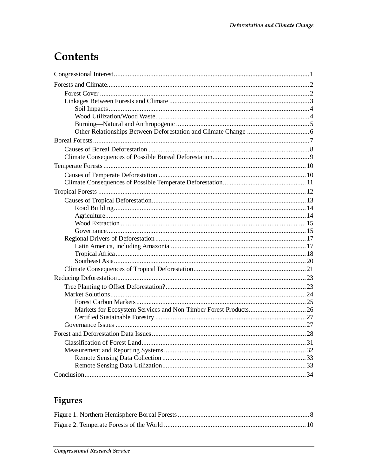# Contents

## Figures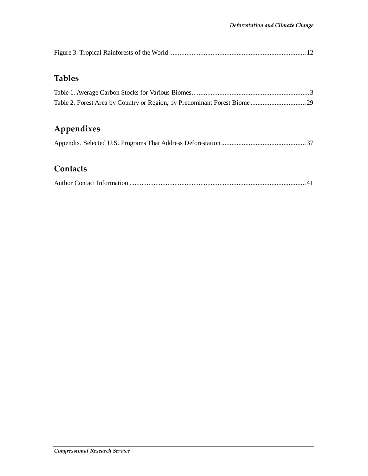## **Tables**

## **Appendixes**

### **Contacts**

|--|--|--|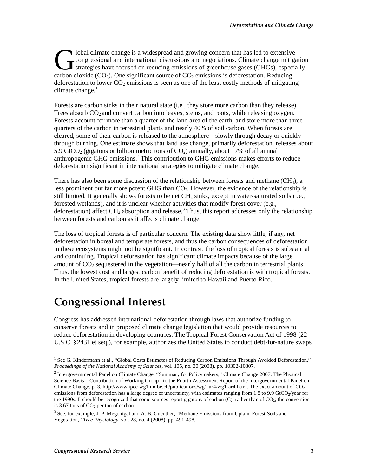lobal climate change is a widespread and growing concern that has led to extensive congressional and international discussions and negotiations. Climate change mitigation strategies have focused on reducing emissions of greenhouse gases (GHGs), especially Iobal climate change is a widespread and growing concern that has led to extensive<br>congressional and international discussions and negotiations. Climate change mitig<br>strategies have focused on reducing emissions of greenho deforestation to lower  $CO<sub>2</sub>$  emissions is seen as one of the least costly methods of mitigating climate change. $1$ 

Forests are carbon sinks in their natural state (i.e., they store more carbon than they release). Trees absorb  $CO<sub>2</sub>$  and convert carbon into leaves, stems, and roots, while releasing oxygen. Forests account for more than a quarter of the land area of the earth, and store more than threequarters of the carbon in terrestrial plants and nearly 40% of soil carbon. When forests are cleared, some of their carbon is released to the atmosphere—slowly through decay or quickly through burning. One estimate shows that land use change, primarily deforestation, releases about 5.9 GtCO<sub>2</sub> (gigatons or billion metric tons of  $CO<sub>2</sub>$ ) annually, about 17% of all annual anthropogenic GHG emissions.<sup>2</sup> This contribution to GHG emissions makes efforts to reduce deforestation significant in international strategies to mitigate climate change.

There has also been some discussion of the relationship between forests and methane  $(CH_4)$ , a less prominent but far more potent GHG than  $CO<sub>2</sub>$ . However, the evidence of the relationship is still limited. It generally shows forests to be net  $CH_4$  sinks, except in water-saturated soils (i.e., forested wetlands), and it is unclear whether activities that modify forest cover (e.g., deforestation) affect CH<sub>4</sub> absorption and release.<sup>3</sup> Thus, this report addresses only the relationship between forests and carbon as it affects climate change.

The loss of tropical forests is of particular concern. The existing data show little, if any, net deforestation in boreal and temperate forests, and thus the carbon consequences of deforestation in these ecosystems might not be significant. In contrast, the loss of tropical forests is substantial and continuing. Tropical deforestation has significant climate impacts because of the large amount of  $CO<sub>2</sub>$  sequestered in the vegetation—nearly half of all the carbon in terrestrial plants. Thus, the lowest cost and largest carbon benefit of reducing deforestation is with tropical forests. In the United States, tropical forests are largely limited to Hawaii and Puerto Rico.

## **Congressional Interest**

Congress has addressed international deforestation through laws that authorize funding to conserve forests and in proposed climate change legislation that would provide resources to reduce deforestation in developing countries. The Tropical Forest Conservation Act of 1998 (22 U.S.C. §2431 et seq.), for example, authorizes the United States to conduct debt-for-nature swaps

<sup>1</sup> See G. Kindermann et al., "Global Costs Estimates of Reducing Carbon Emissions Through Avoided Deforestation," *Proceedings of the National Academy of Sciences*, vol. 105, no. 30 (2008), pp. 10302-10307.

<sup>&</sup>lt;sup>2</sup> Intergovernmental Panel on Climate Change, "Summary for Policymakers," Climate Change 2007: The Physical Science Basis—Contribution of Working Group I to the Fourth Assessment Report of the Intergovernmental Panel on Climate Change, p. 3, http://www.ipcc-wg1.unibe.ch/publications/wg1-ar4/wg1-ar4.html. The exact amount of  $CO<sub>2</sub>$ emissions from deforestation has a large degree of uncertainty, with estimates ranging from 1.8 to 9.9 GtCO $_2$ /year for the 1990s. It should be recognized that some sources report gigatons of carbon (C), rather than of CO<sub>2</sub>; the conversion is 3.67 tons of  $CO<sub>2</sub>$  per ton of carbon.

<sup>&</sup>lt;sup>3</sup> See, for example, J. P. Megonigal and A. B. Guenther, "Methane Emissions from Upland Forest Soils and Vegetation," *Tree Physiology*, vol. 28, no. 4 (2008), pp. 491-498.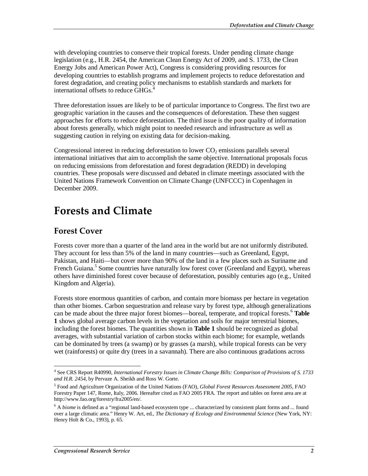with developing countries to conserve their tropical forests. Under pending climate change legislation (e.g., H.R. 2454, the American Clean Energy Act of 2009, and S. 1733, the Clean Energy Jobs and American Power Act), Congress is considering providing resources for developing countries to establish programs and implement projects to reduce deforestation and forest degradation, and creating policy mechanisms to establish standards and markets for international offsets to reduce  $GHGs<sup>4</sup>$ 

Three deforestation issues are likely to be of particular importance to Congress. The first two are geographic variation in the causes and the consequences of deforestation. These then suggest approaches for efforts to reduce deforestation. The third issue is the poor quality of information about forests generally, which might point to needed research and infrastructure as well as suggesting caution in relying on existing data for decision-making.

Congressional interest in reducing deforestation to lower  $CO<sub>2</sub>$  emissions parallels several international initiatives that aim to accomplish the same objective. International proposals focus on reducing emissions from deforestation and forest degradation (REDD) in developing countries. These proposals were discussed and debated in climate meetings associated with the United Nations Framework Convention on Climate Change (UNFCCC) in Copenhagen in December 2009.

## **Forests and Climate**

### **Forest Cover**

Forests cover more than a quarter of the land area in the world but are not uniformly distributed. They account for less than 5% of the land in many countries—such as Greenland, Egypt, Pakistan, and Haiti—but cover more than 90% of the land in a few places such as Suriname and French Guiana.<sup>5</sup> Some countries have naturally low forest cover (Greenland and Egypt), whereas others have diminished forest cover because of deforestation, possibly centuries ago (e.g., United Kingdom and Algeria).

Forests store enormous quantities of carbon, and contain more biomass per hectare in vegetation than other biomes. Carbon sequestration and release vary by forest type, although generalizations can be made about the three major forest biomes—boreal, temperate, and tropical forests.<sup>6</sup> **Table 1** shows global average carbon levels in the vegetation and soils for major terrestrial biomes, including the forest biomes. The quantities shown in **Table 1** should be recognized as global averages, with substantial variation of carbon stocks within each biome; for example, wetlands can be dominated by trees (a swamp) or by grasses (a marsh), while tropical forests can be very wet (rainforests) or quite dry (trees in a savannah). There are also continuous gradations across

<sup>&</sup>lt;u>.</u> 4 See CRS Report R40990, *International Forestry Issues in Climate Change Bills: Comparison of Provisions of S. 1733 and H.R. 2454*, by Pervaze A. Sheikh and Ross W. Gorte.

<sup>5</sup> Food and Agriculture Organization of the United Nations (FAO), *Global Forest Resources Assessment 2005*, FAO Forestry Paper 147, Rome, Italy, 2006. Hereafter cited as FAO 2005 FRA. The report and tables on forest area are at http://www.fao.org/forestry/fra2005/en/.

<sup>&</sup>lt;sup>6</sup> A *biome* is defined as a "regional land-based ecosystem type ... characterized by consistent plant forms and ... found over a large climatic area." Henry W. Art, ed., *The Dictionary of Ecology and Environmental Science* (New York, NY: Henry Holt & Co., 1993), p. 65.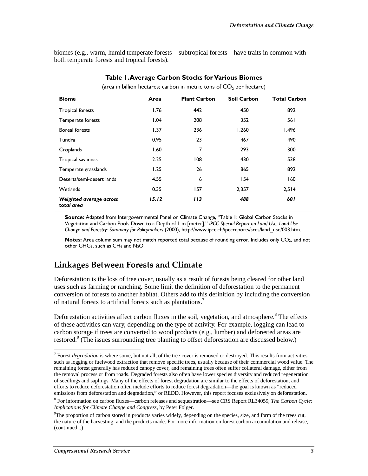biomes (e.g., warm, humid temperate forests—subtropical forests—have traits in common with both temperate forests and tropical forests).

| <b>Biome</b>                          | Area  | <b>Plant Carbon</b> | <b>Soil Carbon</b> | <b>Total Carbon</b> |  |
|---------------------------------------|-------|---------------------|--------------------|---------------------|--|
| <b>Tropical forests</b>               | 1.76  | 442                 | 450                | 892                 |  |
| Temperate forests                     | 1.04  | 208                 | 352                | 561                 |  |
| <b>Boreal forests</b>                 | 1.37  | 236                 | 1,260              | 1,496               |  |
| Tundra                                | 0.95  | 23                  | 467                | 490                 |  |
| Croplands                             | 1.60  | 7                   | 293                | 300                 |  |
| Tropical savannas                     | 2.25  | 108                 | 430                | 538                 |  |
| Temperate grasslands                  | 1.25  | 26                  | 865                | 892                 |  |
| Deserts/semi-desert lands             | 4.55  | 6                   | 154                | 160                 |  |
| Wetlands                              | 0.35  | 157                 | 2,357              | 2,514               |  |
| Weighted average across<br>total area | 15.12 | 113                 | 488                | 601                 |  |

#### **Table 1. Average Carbon Stocks for Various Biomes**

(area in billion hectares; carbon in metric tons of  $CO<sub>2</sub>$  per hectare)

**Source:** Adapted from Intergovernmental Panel on Climate Change, "Table 1: Global Carbon Stocks in Vegetation and Carbon Pools Down to a Depth of 1 m [meter]," *IPCC Special Report on Land Use, Land-Use Change and Forestry: Summary for Policymakers* (2000), http://www.ipcc.ch/ipccreports/sres/land\_use/003.htm.

**Notes:** Area column sum may not match reported total because of rounding error. Includes only CO<sub>2</sub>, and not other GHGs, such as CH4 and N2O.

### **Linkages Between Forests and Climate**

Deforestation is the loss of tree cover, usually as a result of forests being cleared for other land uses such as farming or ranching. Some limit the definition of deforestation to the permanent conversion of forests to another habitat. Others add to this definition by including the conversion of natural forests to artificial forests such as plantations.7

Deforestation activities affect carbon fluxes in the soil, vegetation, and atmosphere.<sup>8</sup> The effects of these activities can vary, depending on the type of activity. For example, logging can lead to carbon storage if trees are converted to wood products (e.g., lumber) and deforested areas are restored.<sup>9</sup> (The issues surrounding tree planting to offset deforestation are discussed below.)

-

 $<sup>7</sup>$  Forest *degradation* is where some, but not all, of the tree cover is removed or destroyed. This results from activities</sup> such as logging or fuelwood extraction that remove specific trees, usually because of their commercial wood value. The remaining forest generally has reduced canopy cover, and remaining trees often suffer collateral damage, either from the removal process or from roads. Degraded forests also often have lower species diversity and reduced regeneration of seedlings and saplings. Many of the effects of forest degradation are similar to the effects of deforestation, and efforts to reduce deforestation often include efforts to reduce forest degradation—the goal is known as "reduced emissions from deforestation and degradation," or REDD. However, this report focuses exclusively on deforestation.

<sup>8</sup> For information on carbon fluxes—carbon releases and sequestration—see CRS Report RL34059, *The Carbon Cycle: Implications for Climate Change and Congress*, by Peter Folger.

<sup>&</sup>lt;sup>9</sup>The proportion of carbon stored in products varies widely, depending on the species, size, and form of the trees cut, the nature of the harvesting, and the products made. For more information on forest carbon accumulation and release, (continued...)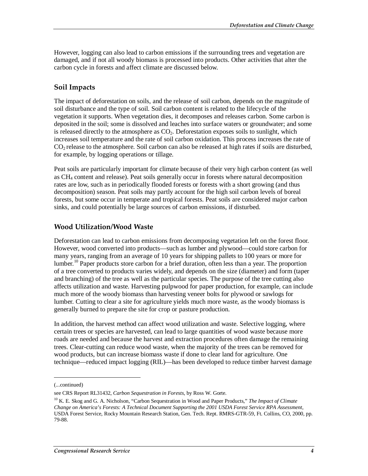However, logging can also lead to carbon emissions if the surrounding trees and vegetation are damaged, and if not all woody biomass is processed into products. Other activities that alter the carbon cycle in forests and affect climate are discussed below.

#### **Soil Impacts**

The impact of deforestation on soils, and the release of soil carbon, depends on the magnitude of soil disturbance and the type of soil. Soil carbon content is related to the lifecycle of the vegetation it supports. When vegetation dies, it decomposes and releases carbon. Some carbon is deposited in the soil; some is dissolved and leaches into surface waters or groundwater; and some is released directly to the atmosphere as  $CO<sub>2</sub>$ . Deforestation exposes soils to sunlight, which increases soil temperature and the rate of soil carbon oxidation. This process increases the rate of CO2 release to the atmosphere. Soil carbon can also be released at high rates if soils are disturbed, for example, by logging operations or tillage.

Peat soils are particularly important for climate because of their very high carbon content (as well as CH4 content and release). Peat soils generally occur in forests where natural decomposition rates are low, such as in periodically flooded forests or forests with a short growing (and thus decomposition) season. Peat soils may partly account for the high soil carbon levels of boreal forests, but some occur in temperate and tropical forests. Peat soils are considered major carbon sinks, and could potentially be large sources of carbon emissions, if disturbed.

### **Wood Utilization/Wood Waste**

Deforestation can lead to carbon emissions from decomposing vegetation left on the forest floor. However, wood converted into products—such as lumber and plywood—could store carbon for many years, ranging from an average of 10 years for shipping pallets to 100 years or more for lumber.<sup>10</sup> Paper products store carbon for a brief duration, often less than a year. The proportion of a tree converted to products varies widely, and depends on the size (diameter) and form (taper and branching) of the tree as well as the particular species. The purpose of the tree cutting also affects utilization and waste. Harvesting pulpwood for paper production, for example, can include much more of the woody biomass than harvesting veneer bolts for plywood or sawlogs for lumber. Cutting to clear a site for agriculture yields much more waste, as the woody biomass is generally burned to prepare the site for crop or pasture production.

In addition, the harvest method can affect wood utilization and waste. Selective logging, where certain trees or species are harvested, can lead to large quantities of wood waste because more roads are needed and because the harvest and extraction procedures often damage the remaining trees. Clear-cutting can reduce wood waste, when the majority of the trees can be removed for wood products, but can increase biomass waste if done to clear land for agriculture. One technique—reduced impact logging (RIL)—has been developed to reduce timber harvest damage

1

<sup>(...</sup>continued)

see CRS Report RL31432, *Carbon Sequestration in Forests*, by Ross W. Gorte.

<sup>10</sup> K. E. Skog and G. A. Nicholson, "Carbon Sequestration in Wood and Paper Products," *The Impact of Climate Change on America's Forests: A Technical Document Supporting the 2001 USDA Forest Service RPA Assessment*, USDA Forest Service, Rocky Mountain Research Station, Gen. Tech. Rept. RMRS-GTR-59, Ft. Collins, CO, 2000, pp. 79-88.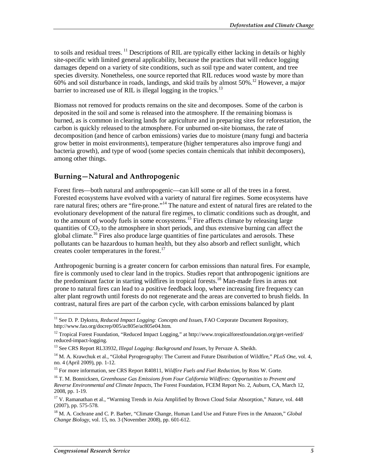to soils and residual trees. <sup>11</sup> Descriptions of RIL are typically either lacking in details or highly site-specific with limited general applicability, because the practices that will reduce logging damages depend on a variety of site conditions, such as soil type and water content, and tree species diversity. Nonetheless, one source reported that RIL reduces wood waste by more than  $60\%$  and soil disturbance in roads, landings, and skid trails by almost 50%.<sup>12</sup> However, a major barrier to increased use of RIL is illegal logging in the tropics.<sup>13</sup>

Biomass not removed for products remains on the site and decomposes. Some of the carbon is deposited in the soil and some is released into the atmosphere. If the remaining biomass is burned, as is common in clearing lands for agriculture and in preparing sites for reforestation, the carbon is quickly released to the atmosphere. For unburned on-site biomass, the rate of decomposition (and hence of carbon emissions) varies due to moisture (many fungi and bacteria grow better in moist environments), temperature (higher temperatures also improve fungi and bacteria growth), and type of wood (some species contain chemicals that inhibit decomposers), among other things.

### **Burning—Natural and Anthropogenic**

Forest fires—both natural and anthropogenic—can kill some or all of the trees in a forest. Forested ecosystems have evolved with a variety of natural fire regimes. Some ecosystems have rare natural fires; others are "fire-prone."<sup>14</sup> The nature and extent of natural fires are related to the evolutionary development of the natural fire regimes, to climatic conditions such as drought, and to the amount of woody fuels in some ecosystems.<sup>15</sup> Fire affects climate by releasing large quantities of  $CO<sub>2</sub>$  to the atmosphere in short periods, and thus extensive burning can affect the global climate.<sup>16</sup> Fires also produce large quantities of fine particulates and aerosols. These pollutants can be hazardous to human health, but they also absorb and reflect sunlight, which creates cooler temperatures in the forest.<sup>17</sup>

Anthropogenic burning is a greater concern for carbon emissions than natural fires. For example, fire is commonly used to clear land in the tropics. Studies report that anthropogenic ignitions are the predominant factor in starting wildfires in tropical forests.18 Man-made fires in areas not prone to natural fires can lead to a positive feedback loop, where increasing fire frequency can alter plant regrowth until forests do not regenerate and the areas are converted to brush fields. In contrast, natural fires are part of the carbon cycle, with carbon emissions balanced by plant

<sup>&</sup>lt;u>.</u> <sup>11</sup> See D. P. Dykstra, *Reduced Impact Logging: Concepts and Issues*, FAO Corporate Document Repository, http://www.fao.org/docrep/005/ac805e/ac805e04.htm.

<sup>&</sup>lt;sup>12</sup> Tropical Forest Foundation, "Reduced Impact Logging," at http://www.tropicalforestfoundation.org/get-verified/ reduced-impact-logging.

<sup>13</sup> See CRS Report RL33932, *Illegal Logging: Background and Issues*, by Pervaze A. Sheikh.

<sup>14</sup> M. A. Krawchuk et al., "Global Pyrogeography: The Current and Future Distribution of Wildfire," *PLoS One*, vol. 4, no. 4 (April 2009), pp. 1-12.

<sup>15</sup> For more information, see CRS Report R40811, *Wildfire Fuels and Fuel Reduction*, by Ross W. Gorte.

<sup>16</sup> T. M. Bonnicksen, *Greenhouse Gas Emissions from Four California Wildfires: Opportunities to Prevent and Reverse Environmental and Climate Impacts*, The Forest Foundation, FCEM Report No. 2, Auburn, CA, March 12, 2008, pp. 1-19.

<sup>&</sup>lt;sup>17</sup> V. Ramanathan et al., "Warming Trends in Asia Amplified by Brown Cloud Solar Absorption," *Nature*, vol. 448 (2007), pp. 575-578.

<sup>18</sup> M. A. Cochrane and C. P. Barber, "Climate Change, Human Land Use and Future Fires in the Amazon," *Global Change Biology*, vol. 15, no. 3 (November 2008), pp. 601-612.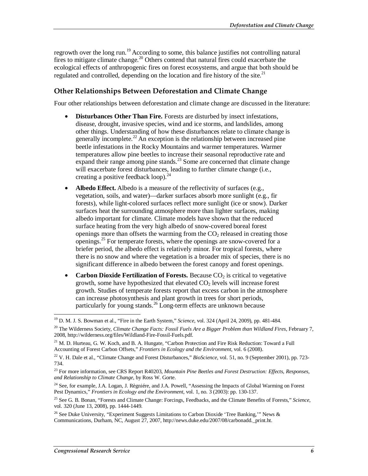regrowth over the long run.<sup>19</sup> According to some, this balance justifies not controlling natural fires to mitigate climate change.<sup>20</sup> Others contend that natural fires could exacerbate the ecological effects of anthropogenic fires on forest ecosystems, and argue that both should be regulated and controlled, depending on the location and fire history of the site.<sup>21</sup>

### **Other Relationships Between Deforestation and Climate Change**

Four other relationships between deforestation and climate change are discussed in the literature:

- **Disturbances Other Than Fire.** Forests are disturbed by insect infestations, disease, drought, invasive species, wind and ice storms, and landslides, among other things. Understanding of how these disturbances relate to climate change is generally incomplete.<sup>22</sup> An exception is the relationship between increased pine beetle infestations in the Rocky Mountains and warmer temperatures. Warmer temperatures allow pine beetles to increase their seasonal reproductive rate and expand their range among pine stands. $^{23}$  Some are concerned that climate change will exacerbate forest disturbances, leading to further climate change (i.e., creating a positive feedback loop). $^{24}$
- **Albedo Effect.** Albedo is a measure of the reflectivity of surfaces (e.g., vegetation, soils, and water)—darker surfaces absorb more sunlight (e.g., fir forests), while light-colored surfaces reflect more sunlight (ice or snow). Darker surfaces heat the surrounding atmosphere more than lighter surfaces, making albedo important for climate. Climate models have shown that the reduced surface heating from the very high albedo of snow-covered boreal forest openings more than offsets the warming from the  $CO<sub>2</sub>$  released in creating those openings.25 For temperate forests, where the openings are snow-covered for a briefer period, the albedo effect is relatively minor. For tropical forests, where there is no snow and where the vegetation is a broader mix of species, there is no significant difference in albedo between the forest canopy and forest openings.
- **Carbon Dioxide Fertilization of Forests.** Because  $CO<sub>2</sub>$  is critical to vegetative growth, some have hypothesized that elevated  $CO<sub>2</sub>$  levels will increase forest growth. Studies of temperate forests report that excess carbon in the atmosphere can increase photosynthesis and plant growth in trees for short periods, particularly for young stands.26 Long-term effects are unknown because

<sup>&</sup>lt;u>.</u> 19 D. M. J. S. Bowman et al., "Fire in the Earth System," *Science*, vol. 324 (April 24, 2009), pp. 481-484.

<sup>20</sup> The Wilderness Society, *Climate Change Facts: Fossil Fuels Are a Bigger Problem than Wildland Fires*, February 7, 2008, http://wilderness.org/files/Wildland-Fire-Fossil-Fuels.pdf.

<sup>&</sup>lt;sup>21</sup> M. D. Hurteau, G. W. Koch, and B. A. Hungate, "Carbon Protection and Fire Risk Reduction: Toward a Full Accounting of Forest Carbon Offsets," *Frontiers in Ecology and the Environment*, vol. 6 (2008).

<sup>22</sup> V. H. Dale et al., "Climate Change and Forest Disturbances," *BioScience*, vol. 51, no. 9 (September 2001), pp. 723- 734.

<sup>23</sup> For more information, see CRS Report R40203, *Mountain Pine Beetles and Forest Destruction: Effects, Responses, and Relationship to Climate Change*, by Ross W. Gorte.

<sup>&</sup>lt;sup>24</sup> See, for example, J.A. Logan, J. Règniére, and J.A. Powell, "Assessing the Impacts of Global Warming on Forest Pest Dynamics," *Frontiers in Ecology and the Environment*, vol. 1, no. 3 (2003): pp. 130-137.

<sup>25</sup> See G. B. Bonan, "Forests and Climate Change: Forcings, Feedbacks, and the Climate Benefits of Forests," *Science*, vol. 320 (June 13, 2008), pp. 1444-1449.

<sup>&</sup>lt;sup>26</sup> See Duke University, "Experiment Suggests Limitations to Carbon Dioxide 'Tree Banking,'" News & Communications, Durham, NC, August 27, 2007, http://news.duke.edu/2007/08/carbonadd.\_print.ht.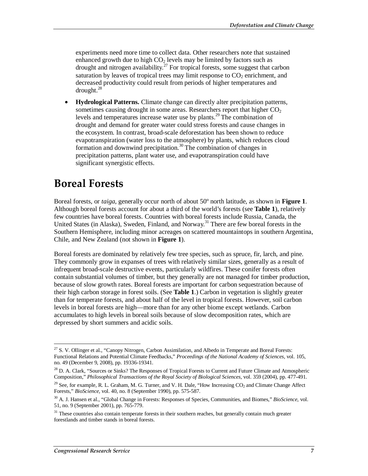experiments need more time to collect data. Other researchers note that sustained enhanced growth due to high  $CO<sub>2</sub>$  levels may be limited by factors such as drought and nitrogen availability.<sup>27</sup> For tropical forests, some suggest that carbon saturation by leaves of tropical trees may limit response to  $CO<sub>2</sub>$  enrichment, and decreased productivity could result from periods of higher temperatures and drought.28

• **Hydrological Patterns.** Climate change can directly alter precipitation patterns, sometimes causing drought in some areas. Researchers report that higher  $CO<sub>2</sub>$ levels and temperatures increase water use by plants.29 The combination of drought and demand for greater water could stress forests and cause changes in the ecosystem. In contrast, broad-scale deforestation has been shown to reduce evapotranspiration (water loss to the atmosphere) by plants, which reduces cloud formation and downwind precipitation.<sup>30</sup> The combination of changes in precipitation patterns, plant water use, and evapotranspiration could have significant synergistic effects.

## **Boreal Forests**

Boreal forests, or *taiga*, generally occur north of about 50º north latitude, as shown in **Figure 1**. Although boreal forests account for about a third of the world's forests (see **Table 1**), relatively few countries have boreal forests. Countries with boreal forests include Russia, Canada, the United States (in Alaska), Sweden, Finland, and Norway.<sup>31</sup> There are few boreal forests in the Southern Hemisphere, including minor acreages on scattered mountaintops in southern Argentina, Chile, and New Zealand (not shown in **Figure 1**).

Boreal forests are dominated by relatively few tree species, such as spruce, fir, larch, and pine. They commonly grow in expanses of trees with relatively similar sizes, generally as a result of infrequent broad-scale destructive events, particularly wildfires. These conifer forests often contain substantial volumes of timber, but they generally are not managed for timber production, because of slow growth rates. Boreal forests are important for carbon sequestration because of their high carbon storage in forest soils. (See **Table 1**.) Carbon in vegetation is slightly greater than for temperate forests, and about half of the level in tropical forests. However, soil carbon levels in boreal forests are high—more than for any other biome except wetlands. Carbon accumulates to high levels in boreal soils because of slow decomposition rates, which are depressed by short summers and acidic soils.

<sup>-</sup><sup>27</sup> S. V. Ollinger et al., "Canopy Nitrogen, Carbon Assimilation, and Albedo in Temperate and Boreal Forests: Functional Relations and Potential Climate Feedbacks," *Proceedings of the National Academy of Sciences*, vol. 105, no. 49 (December 9, 2008), pp. 19336-19341.

<sup>&</sup>lt;sup>28</sup> D. A. Clark, "Sources or Sinks? The Responses of Tropical Forests to Current and Future Climate and Atmospheric Composition," *Philosophical Transactions of the Royal Society of Biological Sciences*, vol. 359 (2004), pp. 477-491.

<sup>&</sup>lt;sup>29</sup> See, for example, R. L. Graham, M. G. Turner, and V. H. Dale, "How Increasing  $CO<sub>2</sub>$  and Climate Change Affect Forests," *BioScience*, vol. 40, no. 8 (September 1990), pp. 575-587.

<sup>30</sup> A. J. Hansen et al., "Global Change in Forests: Responses of Species, Communities, and Biomes," *BioScience*, vol. 51, no. 9 (September 2001), pp. 765-779.

<sup>&</sup>lt;sup>31</sup> These countries also contain temperate forests in their southern reaches, but generally contain much greater forestlands and timber stands in boreal forests.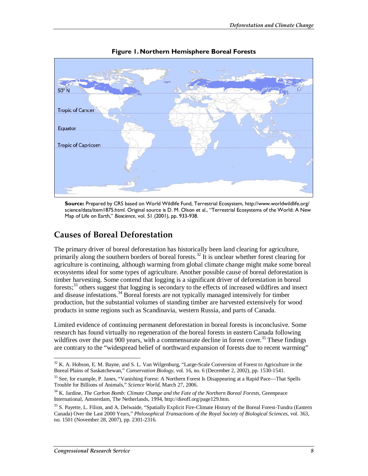

**Figure 1. Northern Hemisphere Boreal Forests** 

**Source:** Prepared by CRS based on World Wildlife Fund, Terrestrial Ecosystem, http://www.worldwildlife.org/ science/data/item1875.html. Original source is D. M. Olson et al., "Terrestrial Ecosystems of the World: A New Map of Life on Earth," *Bioscience*, vol. 51 (2001), pp. 933-938.

### **Causes of Boreal Deforestation**

The primary driver of boreal deforestation has historically been land clearing for agriculture, primarily along the southern borders of boreal forests.<sup>32</sup> It is unclear whether forest clearing for agriculture is continuing, although warming from global climate change might make some boreal ecosystems ideal for some types of agriculture. Another possible cause of boreal deforestation is timber harvesting. Some contend that logging is a significant driver of deforestation in boreal forests;33 others suggest that logging is secondary to the effects of increased wildfires and insect and disease infestations.<sup>34</sup> Boreal forests are not typically managed intensively for timber production, but the substantial volumes of standing timber are harvested extensively for wood products in some regions such as Scandinavia, western Russia, and parts of Canada.

Limited evidence of continuing permanent deforestation in boreal forests is inconclusive. Some research has found virtually no regeneration of the boreal forests in eastern Canada following wildfires over the past 900 years, with a commensurate decline in forest cover.<sup>35</sup> These findings are contrary to the "widespread belief of northward expansion of forests due to recent warming"

<sup>-</sup><sup>32</sup> K. A. Hobson, E. M. Bayne, and S. L. Van Wilgenburg, "Large-Scale Conversion of Forest to Agriculture in the Boreal Plains of Saskatchewan," *Conservation Biology*, vol. 16, no. 6 (December 2, 2002), pp. 1530-1541.

 $33$  See, for example, P. Janes, "Vanishing Forest: A Northern Forest Is Disappearing at a Rapid Pace—That Spells Trouble for Billions of Animals," *Science World*, March 27, 2006.

<sup>34</sup> K. Jardine, *The Carbon Bomb: Climate Change and the Fate of the Northern Boreal Forests*, Greenpeace International, Amsterdam, The Netherlands, 1994, http://dieoff.org/page129.htm.

<sup>&</sup>lt;sup>35</sup> S. Payette, L. Filion, and A. Delwaide, "Spatially Explicit Fire-Climate History of the Boreal Forest-Tundra (Eastern Canada) Over the Last 2000 Years," *Philosophical Transactions of the Royal Society of Biological Sciences*, vol. 363, no. 1501 (November 28, 2007), pp. 2301-2316.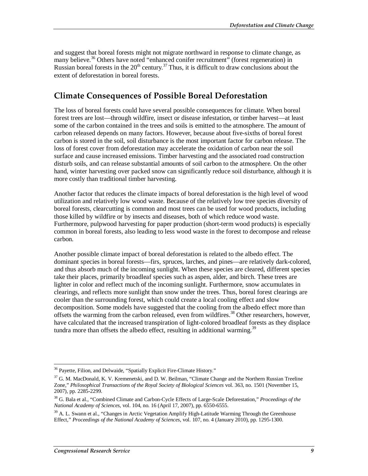and suggest that boreal forests might not migrate northward in response to climate change, as many believe.<sup>36</sup> Others have noted "enhanced conifer recruitment" (forest regeneration) in Russian boreal forests in the  $20<sup>th</sup>$  century.<sup>37</sup> Thus, it is difficult to draw conclusions about the extent of deforestation in boreal forests.

## **Climate Consequences of Possible Boreal Deforestation**

The loss of boreal forests could have several possible consequences for climate. When boreal forest trees are lost—through wildfire, insect or disease infestation, or timber harvest—at least some of the carbon contained in the trees and soils is emitted to the atmosphere. The amount of carbon released depends on many factors. However, because about five-sixths of boreal forest carbon is stored in the soil, soil disturbance is the most important factor for carbon release. The loss of forest cover from deforestation may accelerate the oxidation of carbon near the soil surface and cause increased emissions. Timber harvesting and the associated road construction disturb soils, and can release substantial amounts of soil carbon to the atmosphere. On the other hand, winter harvesting over packed snow can significantly reduce soil disturbance, although it is more costly than traditional timber harvesting.

Another factor that reduces the climate impacts of boreal deforestation is the high level of wood utilization and relatively low wood waste. Because of the relatively low tree species diversity of boreal forests, clearcutting is common and most trees can be used for wood products, including those killed by wildfire or by insects and diseases, both of which reduce wood waste. Furthermore, pulpwood harvesting for paper production (short-term wood products) is especially common in boreal forests, also leading to less wood waste in the forest to decompose and release carbon.

Another possible climate impact of boreal deforestation is related to the albedo effect. The dominant species in boreal forests—firs, spruces, larches, and pines—are relatively dark-colored, and thus absorb much of the incoming sunlight. When these species are cleared, different species take their places, primarily broadleaf species such as aspen, alder, and birch. These trees are lighter in color and reflect much of the incoming sunlight. Furthermore, snow accumulates in clearings, and reflects more sunlight than snow under the trees. Thus, boreal forest clearings are cooler than the surrounding forest, which could create a local cooling effect and slow decomposition. Some models have suggested that the cooling from the albedo effect more than offsets the warming from the carbon released, even from wildfires.<sup>38</sup> Other researchers, however, have calculated that the increased transpiration of light-colored broadleaf forests as they displace tundra more than offsets the albedo effect, resulting in additional warming.<sup>39</sup>

<sup>-</sup><sup>36</sup> Payette, Filion, and Delwaide, "Spatially Explicit Fire-Climate History."

 $37$  G. M. MacDonald, K. V. Kremenetski, and D. W. Beilman, "Climate Change and the Northern Russian Treeline Zone," *Philosophical Transactions of the Royal Society of Biological Sciences* vol. 363, no. 1501 (November 15, 2007), pp. 2285-2299.

<sup>38</sup> G. Bala et al., "Combined Climate and Carbon-Cycle Effects of Large-Scale Deforestation," *Proceedings of the National Academy of Sciences*, vol. 104, no. 16 (April 17, 2007), pp. 6550-6555.

 $39$  A. L. Swann et al., "Changes in Arctic Vegetation Amplify High-Latitude Warming Through the Greenhouse Effect," *Proceedings of the National Academy of Sciences*, vol. 107, no. 4 (January 2010), pp. 1295-1300.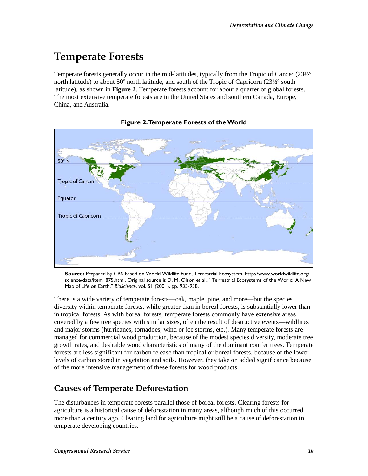# **Temperate Forests**

Temperate forests generally occur in the mid-latitudes, typically from the Tropic of Cancer (23½º north latitude) to about 50° north latitude, and south of the Tropic of Capricorn (23½° south latitude), as shown in **Figure 2**. Temperate forests account for about a quarter of global forests. The most extensive temperate forests are in the United States and southern Canada, Europe, China, and Australia.





**Source:** Prepared by CRS based on World Wildlife Fund, Terrestrial Ecosystem, http://www.worldwildlife.org/ science/data/item1875.html. Original source is D. M. Olson et al., "Terrestrial Ecosystems of the World: A New Map of Life on Earth," *BioScience*, vol. 51 (2001), pp. 933-938.

There is a wide variety of temperate forests—oak, maple, pine, and more—but the species diversity within temperate forests, while greater than in boreal forests, is substantially lower than in tropical forests. As with boreal forests, temperate forests commonly have extensive areas covered by a few tree species with similar sizes, often the result of destructive events—wildfires and major storms (hurricanes, tornadoes, wind or ice storms, etc.). Many temperate forests are managed for commercial wood production, because of the modest species diversity, moderate tree growth rates, and desirable wood characteristics of many of the dominant conifer trees. Temperate forests are less significant for carbon release than tropical or boreal forests, because of the lower levels of carbon stored in vegetation and soils. However, they take on added significance because of the more intensive management of these forests for wood products.

## **Causes of Temperate Deforestation**

The disturbances in temperate forests parallel those of boreal forests. Clearing forests for agriculture is a historical cause of deforestation in many areas, although much of this occurred more than a century ago. Clearing land for agriculture might still be a cause of deforestation in temperate developing countries.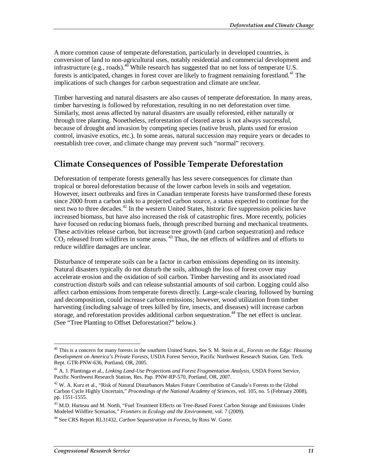A more common cause of temperate deforestation, particularly in developed countries, is conversion of land to non-agricultural uses, notably residential and commercial development and infrastructure (e.g., roads).<sup>46</sup> While research has suggested that no net loss of temperate U.S. forests is anticipated, changes in forest cover are likely to fragment remaining forestland.<sup>41</sup> The implications of such changes for carbon sequestration and climate are unclear.

Timber harvesting and natural disasters are also causes of temperate deforestation. In many areas, timber harvesting is followed by reforestation, resulting in no net deforestation over time. Similarly, most areas affected by natural disasters are usually reforested, either naturally or through tree planting. Nonetheless, reforestation of cleared areas is not always successful, because of drought and invasion by competing species (native brush, plants used for erosion control, invasive exotics, etc.). In some areas, natural succession may require years or decades to reestablish tree cover, and climate change may prevent such "normal" recovery.

### **Climate Consequences of Possible Temperate Deforestation**

Deforestation of temperate forests generally has less severe consequences for climate than tropical or boreal deforestation because of the lower carbon levels in soils and vegetation. However, insect outbreaks and fires in Canadian temperate forests have transformed these forests since 2000 from a carbon sink to a projected carbon source, a status expected to continue for the next two to three decades.<sup>42</sup> In the western United States, historic fire suppression policies have increased biomass, but have also increased the risk of catastrophic fires. More recently, policies have focused on reducing biomass fuels, through prescribed burning and mechanical treatments. These activities release carbon, but increase tree growth (and carbon sequestration) and reduce CO<sub>2</sub> released from wildfires in some areas.<sup>43</sup> Thus, the net effects of wildfires and of efforts to reduce wildfire damages are unclear.

Disturbance of temperate soils can be a factor in carbon emissions depending on its intensity. Natural disasters typically do not disturb the soils, although the loss of forest cover may accelerate erosion and the oxidation of soil carbon. Timber harvesting and its associated road construction disturb soils and can release substantial amounts of soil carbon. Logging could also affect carbon emissions from temperate forests directly. Large-scale clearing, followed by burning and decomposition, could increase carbon emissions; however, wood utilization from timber harvesting (including salvage of trees killed by fire, insects, and diseases) will increase carbon storage, and reforestation provides additional carbon sequestration.<sup>44</sup> The net effect is unclear. (See "Tree Planting to Offset Deforestation?" below.)

<sup>-</sup>40 This is a concern for many forests in the southern United States. See S. M. Stein et al., *Forests on the Edge: Housing Development on America's Private Forests*, USDA Forest Service, Pacific Northwest Research Station, Gen. Tech. Rept. GTR-PNW-636, Portland, OR, 2005.

<sup>41</sup> A. J. Plantinga et al., *Linking Land-Use Projections and Forest Fragmentation Analysis*, USDA Forest Service, Pacific Northwest Research Station, Res. Pap. PNW-RP-570, Portland, OR, 2007.

<sup>&</sup>lt;sup>42</sup> W. A. Kurz et al., "Risk of Natural Disturbances Makes Future Contribution of Canada's Forests to the Global Carbon Cycle Highly Uncertain," *Proceedings of the National Academy of Sciences*, vol. 105, no. 5 (February 2008), pp. 1551-1555.

<sup>&</sup>lt;sup>43</sup> M.D. Hurteau and M. North, "Fuel Treatment Effects on Tree-Based Forest Carbon Storage and Emissions Under Modeled Wildfire Scenarios," *Frontiers in Ecology and the Environment*, vol. 7 (2009).

<sup>44</sup> See CRS Report RL31432, *Carbon Sequestration in Forests*, by Ross W. Gorte.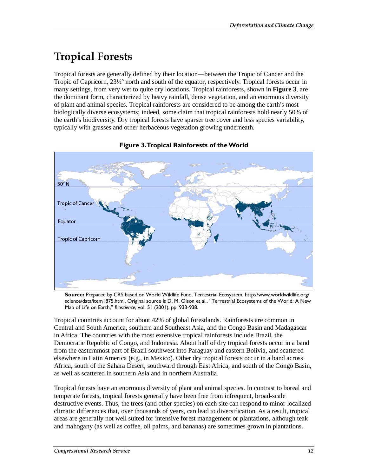# **Tropical Forests**

Tropical forests are generally defined by their location—between the Tropic of Cancer and the Tropic of Capricorn, 23½º north and south of the equator, respectively. Tropical forests occur in many settings, from very wet to quite dry locations. Tropical rainforests, shown in **Figure 3**, are the dominant form, characterized by heavy rainfall, dense vegetation, and an enormous diversity of plant and animal species. Tropical rainforests are considered to be among the earth's most biologically diverse ecosystems; indeed, some claim that tropical rainforests hold nearly 50% of the earth's biodiversity. Dry tropical forests have sparser tree cover and less species variability, typically with grasses and other herbaceous vegetation growing underneath.



### **Figure 3. Tropical Rainforests of the World**

**Source:** Prepared by CRS based on World Wildlife Fund, Terrestrial Ecosystem, http://www.worldwildlife.org/ science/data/item1875.html. Original source is D. M. Olson et al., "Terrestrial Ecosystems of the World: A New Map of Life on Earth," *Bioscience*, vol. 51 (2001), pp. 933-938.

Tropical countries account for about 42% of global forestlands. Rainforests are common in Central and South America, southern and Southeast Asia, and the Congo Basin and Madagascar in Africa. The countries with the most extensive tropical rainforests include Brazil, the Democratic Republic of Congo, and Indonesia. About half of dry tropical forests occur in a band from the easternmost part of Brazil southwest into Paraguay and eastern Bolivia, and scattered elsewhere in Latin America (e.g., in Mexico). Other dry tropical forests occur in a band across Africa, south of the Sahara Desert, southward through East Africa, and south of the Congo Basin, as well as scattered in southern Asia and in northern Australia.

Tropical forests have an enormous diversity of plant and animal species. In contrast to boreal and temperate forests, tropical forests generally have been free from infrequent, broad-scale destructive events. Thus, the trees (and other species) on each site can respond to minor localized climatic differences that, over thousands of years, can lead to diversification. As a result, tropical areas are generally not well suited for intensive forest management or plantations, although teak and mahogany (as well as coffee, oil palms, and bananas) are sometimes grown in plantations.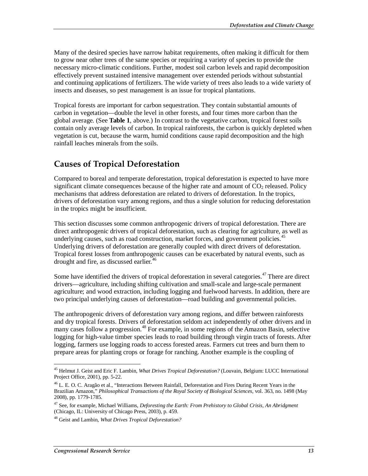Many of the desired species have narrow habitat requirements, often making it difficult for them to grow near other trees of the same species or requiring a variety of species to provide the necessary micro-climatic conditions. Further, modest soil carbon levels and rapid decomposition effectively prevent sustained intensive management over extended periods without substantial and continuing applications of fertilizers. The wide variety of trees also leads to a wide variety of insects and diseases, so pest management is an issue for tropical plantations.

Tropical forests are important for carbon sequestration. They contain substantial amounts of carbon in vegetation—double the level in other forests, and four times more carbon than the global average. (See **Table 1**, above.) In contrast to the vegetative carbon, tropical forest soils contain only average levels of carbon. In tropical rainforests, the carbon is quickly depleted when vegetation is cut, because the warm, humid conditions cause rapid decomposition and the high rainfall leaches minerals from the soils.

## **Causes of Tropical Deforestation**

Compared to boreal and temperate deforestation, tropical deforestation is expected to have more significant climate consequences because of the higher rate and amount of  $CO<sub>2</sub>$  released. Policy mechanisms that address deforestation are related to drivers of deforestation. In the tropics, drivers of deforestation vary among regions, and thus a single solution for reducing deforestation in the tropics might be insufficient.

This section discusses some common anthropogenic drivers of tropical deforestation. There are direct anthropogenic drivers of tropical deforestation, such as clearing for agriculture, as well as underlying causes, such as road construction, market forces, and government policies. $45$ Underlying drivers of deforestation are generally coupled with direct drivers of deforestation. Tropical forest losses from anthropogenic causes can be exacerbated by natural events, such as drought and fire, as discussed earlier.<sup>46</sup>

Some have identified the drivers of tropical deforestation in several categories.<sup>47</sup> There are direct drivers—agriculture, including shifting cultivation and small-scale and large-scale permanent agriculture; and wood extraction, including logging and fuelwood harvests. In addition, there are two principal underlying causes of deforestation—road building and governmental policies.

The anthropogenic drivers of deforestation vary among regions, and differ between rainforests and dry tropical forests. Drivers of deforestation seldom act independently of other drivers and in many cases follow a progression.<sup>48</sup> For example, in some regions of the Amazon Basin, selective logging for high-value timber species leads to road building through virgin tracts of forests. After logging, farmers use logging roads to access forested areas. Farmers cut trees and burn them to prepare areas for planting crops or forage for ranching. Another example is the coupling of

-

<sup>45</sup> Helmut J. Geist and Eric F. Lambin, *What Drives Tropical Deforestation?* (Louvain, Belgium: LUCC International Project Office, 2001), pp. 5-22.

<sup>46</sup> L. E. O. C. Aragão et al., "Interactions Between Rainfall, Deforestation and Fires During Recent Years in the Brazilian Amazon," *Philosophical Transactions of the Royal Society of Biological Sciences*, vol. 363, no. 1498 (May 2008), pp. 1779-1785.

<sup>47</sup> See, for example, Michael Williams, *Deforesting the Earth: From Prehistory to Global Crisis, An Abridgment* (Chicago, IL: University of Chicago Press, 2003), p. 459.

<sup>48</sup> Geist and Lambin, *What Drives Tropical Deforestation?*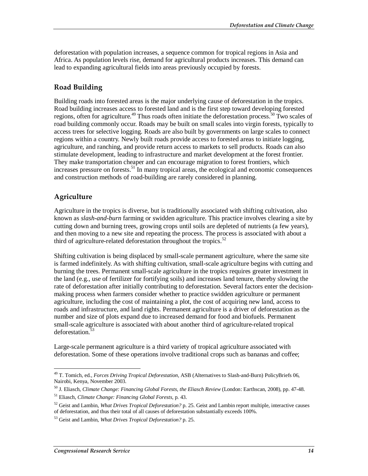deforestation with population increases, a sequence common for tropical regions in Asia and Africa. As population levels rise, demand for agricultural products increases. This demand can lead to expanding agricultural fields into areas previously occupied by forests.

### **Road Building**

Building roads into forested areas is the major underlying cause of deforestation in the tropics. Road building increases access to forested land and is the first step toward developing forested regions, often for agriculture.<sup>49</sup> Thus roads often initiate the deforestation process.<sup>50</sup> Two scales of road building commonly occur. Roads may be built on small scales into virgin forests, typically to access trees for selective logging. Roads are also built by governments on large scales to connect regions within a country. Newly built roads provide access to forested areas to initiate logging, agriculture, and ranching, and provide return access to markets to sell products. Roads can also stimulate development, leading to infrastructure and market development at the forest frontier. They make transportation cheaper and can encourage migration to forest frontiers, which increases pressure on forests.<sup>51</sup> In many tropical areas, the ecological and economic consequences and construction methods of road-building are rarely considered in planning.

### **Agriculture**

Agriculture in the tropics is diverse, but is traditionally associated with shifting cultivation, also known as *slash-and-burn* farming or swidden agriculture. This practice involves clearing a site by cutting down and burning trees, growing crops until soils are depleted of nutrients (a few years), and then moving to a new site and repeating the process. The process is associated with about a third of agriculture-related deforestation throughout the tropics. $52$ 

Shifting cultivation is being displaced by small-scale permanent agriculture, where the same site is farmed indefinitely. As with shifting cultivation, small-scale agriculture begins with cutting and burning the trees. Permanent small-scale agriculture in the tropics requires greater investment in the land (e.g., use of fertilizer for fortifying soils) and increases land tenure, thereby slowing the rate of deforestation after initially contributing to deforestation. Several factors enter the decisionmaking process when farmers consider whether to practice swidden agriculture or permanent agriculture, including the cost of maintaining a plot, the cost of acquiring new land, access to roads and infrastructure, and land rights. Permanent agriculture is a driver of deforestation as the number and size of plots expand due to increased demand for food and biofuels. Permanent small-scale agriculture is associated with about another third of agriculture-related tropical deforestation<sup>53</sup>

Large-scale permanent agriculture is a third variety of tropical agriculture associated with deforestation. Some of these operations involve traditional crops such as bananas and coffee;

<sup>-</sup>49 T. Tomich, ed., *Forces Driving Tropical Deforestation*, ASB (Alternatives to Slash-and-Burn) PolicyBriefs 06, Nairobi, Kenya, November 2003.

<sup>50</sup> J. Eliasch, *Climate Change: Financing Global Forests, the Eliasch Review* (London: Earthscan, 2008), pp. 47-48. 51 Eliasch, *Climate Change: Financing Global Forests*, p. 43.

<sup>52</sup> Geist and Lambin, *What Drives Tropical Deforestation?* p. 25. Geist and Lambin report multiple, interactive causes of deforestation, and thus their total of all causes of deforestation substantially exceeds 100%.

<sup>53</sup> Geist and Lambin, *What Drives Tropical Deforestation?* p. 25.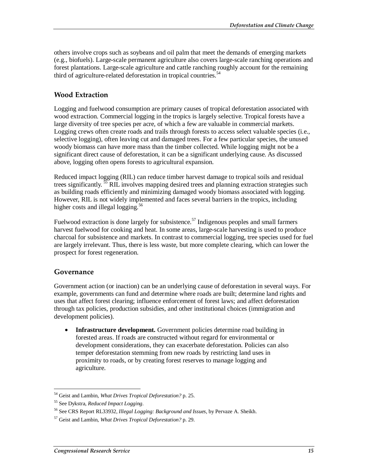others involve crops such as soybeans and oil palm that meet the demands of emerging markets (e.g., biofuels). Large-scale permanent agriculture also covers large-scale ranching operations and forest plantations. Large-scale agriculture and cattle ranching roughly account for the remaining third of agriculture-related deforestation in tropical countries.<sup>54</sup>

### **Wood Extraction**

Logging and fuelwood consumption are primary causes of tropical deforestation associated with wood extraction. Commercial logging in the tropics is largely selective. Tropical forests have a large diversity of tree species per acre, of which a few are valuable in commercial markets. Logging crews often create roads and trails through forests to access select valuable species (i.e., selective logging), often leaving cut and damaged trees. For a few particular species, the unused woody biomass can have more mass than the timber collected. While logging might not be a significant direct cause of deforestation, it can be a significant underlying cause. As discussed above, logging often opens forests to agricultural expansion.

Reduced impact logging (RIL) can reduce timber harvest damage to tropical soils and residual trees significantly.<sup>55</sup> RIL involves mapping desired trees and planning extraction strategies such as building roads efficiently and minimizing damaged woody biomass associated with logging. However, RIL is not widely implemented and faces several barriers in the tropics, including higher costs and illegal logging.<sup>56</sup>

Fuelwood extraction is done largely for subsistence.<sup>57</sup> Indigenous peoples and small farmers harvest fuelwood for cooking and heat. In some areas, large-scale harvesting is used to produce charcoal for subsistence and markets. In contrast to commercial logging, tree species used for fuel are largely irrelevant. Thus, there is less waste, but more complete clearing, which can lower the prospect for forest regeneration.

#### **Governance**

Government action (or inaction) can be an underlying cause of deforestation in several ways. For example, governments can fund and determine where roads are built; determine land rights and uses that affect forest clearing; influence enforcement of forest laws; and affect deforestation through tax policies, production subsidies, and other institutional choices (immigration and development policies).

• **Infrastructure development.** Government policies determine road building in forested areas. If roads are constructed without regard for environmental or development considerations, they can exacerbate deforestation. Policies can also temper deforestation stemming from new roads by restricting land uses in proximity to roads, or by creating forest reserves to manage logging and agriculture.

<sup>-</sup>54 Geist and Lambin, *What Drives Tropical Deforestation?* p. 25.

<sup>55</sup> See Dykstra, *Reduced Impact Logging*.

<sup>56</sup> See CRS Report RL33932, *Illegal Logging: Background and Issues*, by Pervaze A. Sheikh.

<sup>57</sup> Geist and Lambin, *What Drives Tropical Deforestation?* p. 29.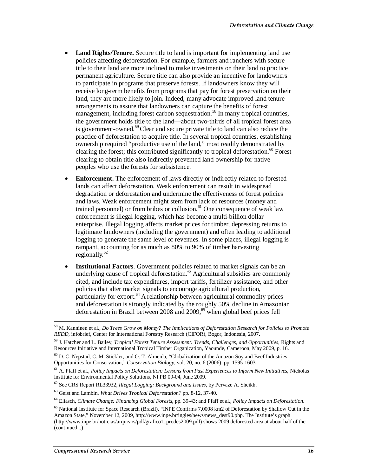- Land Rights/Tenure. Secure title to land is important for implementing land use policies affecting deforestation. For example, farmers and ranchers with secure title to their land are more inclined to make investments on their land to practice permanent agriculture. Secure title can also provide an incentive for landowners to participate in programs that preserve forests. If landowners know they will receive long-term benefits from programs that pay for forest preservation on their land, they are more likely to join. Indeed, many advocate improved land tenure arrangements to assure that landowners can capture the benefits of forest management, including forest carbon sequestration.<sup>58</sup> In many tropical countries, the government holds title to the land—about two-thirds of all tropical forest area is government-owned.<sup>59</sup> Clear and secure private title to land can also reduce the practice of deforestation to acquire title. In several tropical countries, establishing ownership required "productive use of the land," most readily demonstrated by clearing the forest; this contributed significantly to tropical deforestation.<sup>60</sup> Forest clearing to obtain title also indirectly prevented land ownership for native peoples who use the forests for subsistence.
- **Enforcement.** The enforcement of laws directly or indirectly related to forested lands can affect deforestation. Weak enforcement can result in widespread degradation or deforestation and undermine the effectiveness of forest policies and laws. Weak enforcement might stem from lack of resources (money and trained personnel) or from bribes or collusion.<sup>61</sup> One consequence of weak law enforcement is illegal logging, which has become a multi-billion dollar enterprise. Illegal logging affects market prices for timber, depressing returns to legitimate landowners (including the government) and often leading to additional logging to generate the same level of revenues. In some places, illegal logging is rampant, accounting for as much as 80% to 90% of timber harvesting regionally.<sup>62</sup>
- **Institutional Factors.** Government policies related to market signals can be an underlying cause of tropical deforestation. $^{63}$  Agricultural subsidies are commonly cited, and include tax expenditures, import tariffs, fertilizer assistance, and other policies that alter market signals to encourage agricultural production, particularly for export. $64$  A relationship between agricultural commodity prices and deforestation is strongly indicated by the roughly 50% decline in Amazonian deforestation in Brazil between 2008 and 2009,<sup>65</sup> when global beef prices fell

<sup>&</sup>lt;u>.</u> 58 M. Kanninen et al., *Do Trees Grow on Money? The Implications of Deforestation Research for Policies to Promote REDD*, infobrief, Center for International Forestry Research (CIFOR), Bogor, Indonesia, 2007.

<sup>59</sup> J. Hatcher and L. Bailey, *Tropical Forest Tenure Assessment: Trends, Challenges, and Opportunities*, Rights and Resources Initiative and International Tropical Timber Organization, Yaounde, Cameroon, May 2009, p. 16.

<sup>60</sup> D. C. Nepstad, C. M. Stickler, and O. T. Almeida, "Globalization of the Amazon Soy and Beef Industries: Opportunities for Conservation," *Conservation Biology*, vol. 20, no. 6 (2006), pp. 1595-1603.

<sup>61</sup> A. Pfaff et al., *Policy Impacts on Deforestation: Lessons from Past Experiences to Inform New Initiatives*, Nicholas Institute for Environmental Policy Solutions, NI PB 09-04, June 2009.

<sup>62</sup> See CRS Report RL33932, *Illegal Logging: Background and Issues*, by Pervaze A. Sheikh.

<sup>63</sup> Geist and Lambin, *What Drives Tropical Deforestation?* pp. 8-12, 37-40.

<sup>64</sup> Eliasch, *Climate Change: Financing Global Forests*, pp. 39-43; and Pfaff et al., *Policy Impacts on Deforestation*.

<sup>&</sup>lt;sup>65</sup> National Institute for Space Research (Brazil), "INPE Confirms 7,0008 km2 of Deforestation by Shallow Cut in the Amazon State," November 12, 2009, http://www.inpe.br/ingles/news/news\_dest90.php. The Institute's graph (http://www.inpe.br/noticias/arquivos/pdf/grafico1\_prodes2009.pdf) shows 2009 deforested area at about half of the (continued...)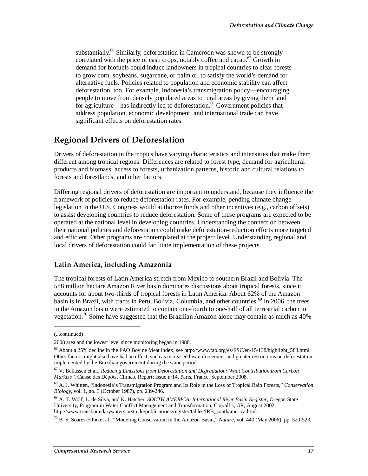substantially.<sup>66</sup> Similarly, deforestation in Cameroon was shown to be strongly correlated with the price of cash crops, notably coffee and cacao.<sup>67</sup> Growth in demand for biofuels could induce landowners in tropical countries to clear forests to grow corn, soybeans, sugarcane, or palm oil to satisfy the world's demand for alternative fuels. Policies related to population and economic stability can affect deforestation, too. For example, Indonesia's transmigration policy—encouraging people to move from densely populated areas to rural areas by giving them land for agriculture—has indirectly led to deforestation.<sup>68</sup> Government policies that address population, economic development, and international trade can have significant effects on deforestation rates.

## **Regional Drivers of Deforestation**

Drivers of deforestation in the tropics have varying characteristics and intensities that make them different among tropical regions. Differences are related to forest type, demand for agricultural products and biomass, access to forests, urbanization patterns, historic and cultural relations to forests and forestlands, and other factors.

Differing regional drivers of deforestation are important to understand, because they influence the framework of policies to reduce deforestation rates. For example, pending climate change legislation in the U.S. Congress would authorize funds and other incentives (e.g., carbon offsets) to assist developing countries to reduce deforestation. Some of these programs are expected to be operated at the national level in developing countries. Understanding the connection between their national policies and deforestation could make deforestation-reduction efforts more targeted and efficient. Other programs are contemplated at the project level. Understanding regional and local drivers of deforestation could facilitate implementation of these projects.

### **Latin America, including Amazonia**

The tropical forests of Latin America stretch from Mexico to southern Brazil and Bolivia. The 588 million hectare Amazon River basin dominates discussions about tropical forests, since it accounts for about two-thirds of tropical forests in Latin America. About 62% of the Amazon basin is in Brazil, with tracts in Peru, Bolivia, Columbia, and other countries.<sup>69</sup> In 2006, the trees in the Amazon basin were estimated to contain one-fourth to one-half of all terrestrial carbon in vegetation.<sup>70</sup> Some have suggested that the Brazilian Amazon alone may contain as much as  $40\%$ 

<u>.</u>

<sup>(...</sup>continued)

<sup>2008</sup> area and the lowest level since monitoring began in 1988.

<sup>&</sup>lt;sup>66</sup> About a 25% decline in the FAO Bovine Meat Index; see http://www.fao.org/es/ESC/en/15/138/highlight\_583.html. Other factors might also have had an effect, such as increased law enforcement and greater restrictions on deforestation implemented by the Brazilian government during the same period.

<sup>67</sup> V. Bellassen et al., *Reducing Emissions from Deforestation and Degradation: What Contribution from Carbon Markets?*, Caisse des Dépôts, Climate Report: Issue nº14, Paris, France, September 2008.

<sup>68</sup> A. J. Whitten, "Indonesia's Transmigration Program and Its Role in the Loss of Tropical Rain Forests," *Conservation Biology*, vol. 1, no. 3 (October 1987), pp. 239-246.

<sup>69</sup> A. T. Wolf, L. de Silva, and K. Hatcher, *SOUTH AMERICA: International River Basin Register*, Oregon State University, Program in Water Conflict Management and Transformation, Corvallis, OR, August 2002, http://www.transboundarywaters.orst.edu/publications/register/tables/IRB\_southamerica.html.

<sup>70</sup> B. S. Soares-Filho et al., "Modeling Conservation in the Amazon Basin," *Nature*, vol. 440 (May 2006), pp. 520-523.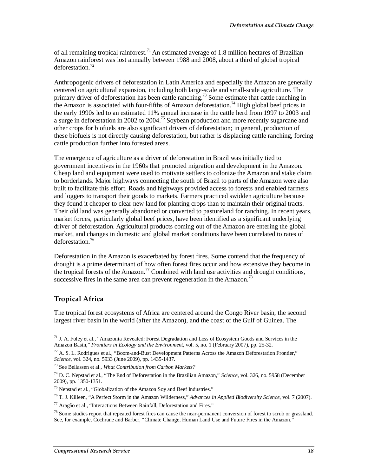of all remaining tropical rainforest.<sup>71</sup> An estimated average of 1.8 million hectares of Brazilian Amazon rainforest was lost annually between 1988 and 2008, about a third of global tropical deforestation.<sup>72</sup>

Anthropogenic drivers of deforestation in Latin America and especially the Amazon are generally centered on agricultural expansion, including both large-scale and small-scale agriculture. The primary driver of deforestation has been cattle ranching.<sup>73</sup> Some estimate that cattle ranching in the Amazon is associated with four-fifths of Amazon deforestation.<sup>74</sup> High global beef prices in the early 1990s led to an estimated 11% annual increase in the cattle herd from 1997 to 2003 and a surge in deforestation in 2002 to 2004.<sup>75</sup> Soybean production and more recently sugarcane and other crops for biofuels are also significant drivers of deforestation; in general, production of these biofuels is not directly causing deforestation, but rather is displacing cattle ranching, forcing cattle production further into forested areas.

The emergence of agriculture as a driver of deforestation in Brazil was initially tied to government incentives in the 1960s that promoted migration and development in the Amazon. Cheap land and equipment were used to motivate settlers to colonize the Amazon and stake claim to borderlands. Major highways connecting the south of Brazil to parts of the Amazon were also built to facilitate this effort. Roads and highways provided access to forests and enabled farmers and loggers to transport their goods to markets. Farmers practiced swidden agriculture because they found it cheaper to clear new land for planting crops than to maintain their original tracts. Their old land was generally abandoned or converted to pastureland for ranching. In recent years, market forces, particularly global beef prices, have been identified as a significant underlying driver of deforestation. Agricultural products coming out of the Amazon are entering the global market, and changes in domestic and global market conditions have been correlated to rates of deforestation.<sup>76</sup>

Deforestation in the Amazon is exacerbated by forest fires. Some contend that the frequency of drought is a prime determinant of how often forest fires occur and how extensive they become in the tropical forests of the Amazon.<sup>77</sup> Combined with land use activities and drought conditions, successive fires in the same area can prevent regeneration in the Amazon.<sup>78</sup>

### **Tropical Africa**

-

The tropical forest ecosystems of Africa are centered around the Congo River basin, the second largest river basin in the world (after the Amazon), and the coast of the Gulf of Guinea. The

<sup>&</sup>lt;sup>71</sup> J. A. Foley et al., "Amazonia Revealed: Forest Degradation and Loss of Ecosystem Goods and Services in the Amazon Basin," *Frontiers in Ecology and the Environment*, vol. 5, no. 1 (February 2007), pp. 25-32.

 $72$  A. S. L. Rodrigues et al., "Boom-and-Bust Development Patterns Across the Amazon Deforestation Frontier,"<br>Science, vol. 324, no. 5933 (June 2009), pp. 1435-1437.

<sup>&</sup>lt;sup>73</sup> See Bellassen et al., *What Contribution from Carbon Markets?* 

<sup>74</sup> D. C. Nepstad et al., "The End of Deforestation in the Brazilian Amazon," *Science*, vol. 326, no. 5958 (December 2009), pp. 1350-1351.

<sup>&</sup>lt;sup>75</sup> Nepstad et al., "Globalization of the Amazon Soy and Beef Industries."

<sup>76</sup> T. J. Killeen, "A Perfect Storm in the Amazon Wilderness," *Advances in Applied Biodiversity Science*, vol. 7 (2007).

 $77$  Aragão et al., "Interactions Between Rainfall, Deforestation and Fires."

 $78$  Some studies report that repeated forest fires can cause the near-permanent conversion of forest to scrub or grassland. See, for example, Cochrane and Barber, "Climate Change, Human Land Use and Future Fires in the Amazon."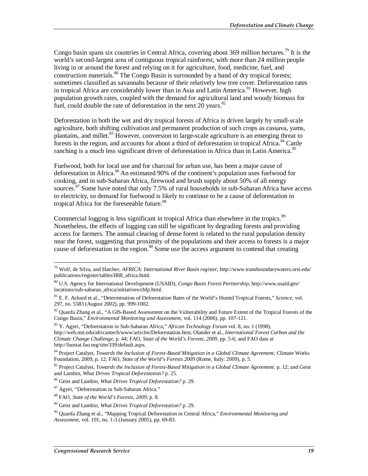Congo basin spans six countries in Central Africa, covering about 369 million hectares.<sup>79</sup> It is the world's second-largest area of contiguous tropical rainforest, with more than 24 million people living in or around the forest and relying on it for agriculture, food, medicine, fuel, and construction materials.<sup>80</sup> The Congo Basin is surrounded by a band of dry tropical forests; sometimes classified as savannahs because of their relatively low tree cover. Deforestation rates in tropical Africa are considerably lower than in Asia and Latin America.<sup>81</sup> However, high population growth rates, coupled with the demand for agricultural land and woody biomass for fuel, could double the rate of deforestation in the next 20 years. $82$ 

Deforestation in both the wet and dry tropical forests of Africa is driven largely by small-scale agriculture, both shifting cultivation and permanent production of such crops as cassava, yams, plantains, and millet.<sup>83</sup> However, conversion to large-scale agriculture is an emerging threat to forests in the region, and accounts for about a third of deforestation in tropical Africa.<sup>84</sup> Cattle ranching is a much less significant driver of deforestation in Africa than in Latin America.<sup>85</sup>

Fuelwood, both for local use and for charcoal for urban use, has been a major cause of deforestation in Africa.<sup>86</sup> An estimated 90% of the continent's population uses fuelwood for cooking, and in sub-Saharan Africa, firewood and brush supply about 50% of all energy sources.<sup>87</sup> Some have noted that only 7.5% of rural households in sub-Saharan Africa have access to electricity, so demand for fuelwood is likely to continue to be a cause of deforestation in tropical Africa for the foreseeable future.<sup>88</sup>

Commercial logging is less significant in tropical Africa than elsewhere in the tropics.<sup>89</sup> Nonetheless, the effects of logging can still be significant by degrading forests and providing access for farmers. The annual clearing of dense forest is related to the rural population density near the forest, suggesting that proximity of the populations and their access to forests is a major cause of deforestation in the region.<sup>90</sup> Some use the access argument to contend that creating

-

<sup>79</sup> Wolf, de Silva, and Hatcher, *AFRICA: International River Basin register*, http://www.transboundarywaters.orst.edu/ publications/register/tables/IRB\_africa.html.

<sup>80</sup> U.S. Agency for International Development (USAID), *Congo Basin Forest Partnership*, http://www.usaid.gov/ locations/sub-saharan\_africa/initiatives/cbfp.html.

<sup>81</sup> E. F. Achard et al., "Determination of Deforestation Rates of the World's Humid Tropical Forests," *Science*, vol. 297, no. 5583 (August 2002), pp. 999-1002.

<sup>&</sup>lt;sup>82</sup> Quanfa Zhang et al., "A GIS-Based Assessment on the Vulnerability and Future Extent of the Tropical Forests of the Congo Basin," *Environmental Monitoring and Assessment*, vol. 114 (2006), pp. 107-121.

<sup>83</sup> Y. Agyei, "Deforestation in Sub-Saharan Africa," *African Technology Forum* vol. 8, no. 1 (1998), http://web.mit.edu/africantech/www/articles/Deforestation.htm; Olander et al., *International Forest Carbon and the Climate Change Challenge*, p. 44; FAO, *State of the World's Forests, 2009*, pp. 5-6; and FAO data at http://faostat.fao.org/site/339/default.aspx.

<sup>84</sup> Project Catalyst, *Towards the Inclusion of Forest-Based Mitigation in a Global Climate Agreement*, Climate Works Foundation, 2009, p. 12; FAO, *State of the World's Forests 2009* (Rome, Italy: 2009), p. 5.

<sup>&</sup>lt;sup>85</sup> Project Catalyst, *Towards the Inclusion of Forest-Based Mitigation in a Global Climate Agreement.* p. 12; and Geist and Lambin, *What Drives Tropical Deforestation*? p. 25.

and Lambin, *What Drives Tropical Deforestation?* p. 25. 86 Geist and Lambin, *What Drives Tropical Deforestation?* p. 29.

<sup>87</sup> Agyei, "Deforestation in Sub-Saharan Africa."

<sup>88</sup> FAO, *State of the World's Forests, 2009*, p. 8.

<sup>89</sup> Geist and Lambin, *What Drives Tropical Deforestation?* p. 29.

<sup>90</sup> Quanfa Zhang et al., "Mapping Tropical Deforestation in Central Africa," *Environmental Monitoring and Assessment*, vol. 101, no. 1-3 (January 2005), pp. 69-83.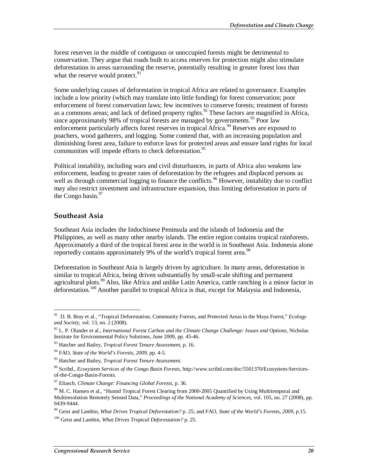forest reserves in the middle of contiguous or unoccupied forests might be detrimental to conservation. They argue that roads built to access reserves for protection might also stimulate deforestation in areas surrounding the reserve, potentially resulting in greater forest loss than what the reserve would protect.<sup>91</sup>

Some underlying causes of deforestation in tropical Africa are related to governance. Examples include a low priority (which may translate into little funding) for forest conservation; poor enforcement of forest conservation laws; few incentives to conserve forests; treatment of forests as a commons areas; and lack of defined property rights.<sup>92</sup> These factors are magnified in Africa, since approximately 98% of tropical forests are managed by governments.<sup>93</sup> Poor law enforcement particularly affects forest reserves in tropical Africa.<sup>94</sup> Reserves are exposed to poachers, wood gatherers, and logging. Some contend that, with an increasing population and diminishing forest area, failure to enforce laws for protected areas and ensure land rights for local communities will impede efforts to check deforestation.<sup>95</sup>

Political instability, including wars and civil disturbances, in parts of Africa also weakens law enforcement, leading to greater rates of deforestation by the refugees and displaced persons as well as through commercial logging to finance the conflicts.<sup>96</sup> However, instability due to conflict may also restrict investment and infrastructure expansion, thus limiting deforestation in parts of the Congo basin.<sup>97</sup>

#### **Southeast Asia**

Southeast Asia includes the Indochinese Peninsula and the islands of Indonesia and the Philippines, as well as many other nearby islands. The entire region contains tropical rainforests. Approximately a third of the tropical forest area in the world is in Southeast Asia. Indonesia alone reportedly contains approximately 9% of the world's tropical forest area.<sup>98</sup>

Deforestation in Southeast Asia is largely driven by agriculture. In many areas, deforestation is similar to tropical Africa, being driven substantially by small-scale shifting and permanent agricultural plots.<sup>99</sup> Also, like Africa and unlike Latin America, cattle ranching is a minor factor in deforestation.<sup>100</sup> Another parallel to tropical Africa is that, except for Malaysia and Indonesia,

<sup>&</sup>lt;u>.</u> 91 D. B. Bray et al., "Tropical Deforestation, Community Forests, and Protected Areas in the Maya Forest," *Ecology and Society*, vol. 13, no. 2 (2008).

<sup>92</sup> L. P. Olander et al., *International Forest Carbon and the Climate Change Challenge: Issues and Options*, Nicholas Institute for Environmental Policy Solutions, June 2009, pp. 45-46.

<sup>93</sup> Hatcher and Bailey, *Tropical Forest Tenure Assessment*, p. 16.

<sup>94</sup> FAO, *State of the World's Forests, 2009*, pp. 4-5.

<sup>95</sup> Hatcher and Bailey, *Tropical Forest Tenure Assessment*.

<sup>96</sup> Scribd., *Ecosystem Services of the Congo Basin Forests*, http://www.scribd.com/doc/5501370/Ecosystem-Servicesof-the-Congo-Basin-Forests.

<sup>97</sup> Eliasch, *Climate Change: Financing Global Forests*, p. 36.

<sup>&</sup>lt;sup>98</sup> M. C. Hansen et al., "Humid Tropical Forest Clearing from 2000-2005 Quantified by Using Multitemporal and Multiresolution Remotely Sensed Data," *Proceedings of the National Academy of Sciences*, vol. 105, no. 27 (2008), pp. 9439-9444.

<sup>99</sup> Geist and Lambin, *What Drives Tropical Deforestation?* p. 25; and FAO, *State of the World's Forests, 2009*, p.15.

<sup>100</sup> Geist and Lambin, *What Drives Tropical Deforestation?* p. 25.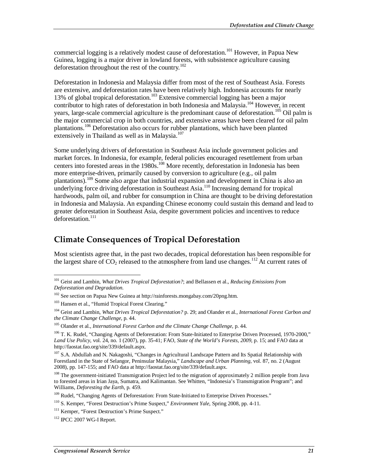commercial logging is a relatively modest cause of deforestation.<sup>101</sup> However, in Papua New Guinea, logging is a major driver in lowland forests, with subsistence agriculture causing deforestation throughout the rest of the country.<sup>102</sup>

Deforestation in Indonesia and Malaysia differ from most of the rest of Southeast Asia. Forests are extensive, and deforestation rates have been relatively high. Indonesia accounts for nearly 13% of global tropical deforestation.<sup>103</sup> Extensive commercial logging has been a major contributor to high rates of deforestation in both Indonesia and Malaysia.<sup>104</sup> However, in recent years, large-scale commercial agriculture is the predominant cause of deforestation.<sup>105</sup> Oil palm is the major commercial crop in both countries, and extensive areas have been cleared for oil palm plantations.<sup>106</sup> Deforestation also occurs for rubber plantations, which have been planted extensively in Thailand as well as in Malaysia. $107$ 

Some underlying drivers of deforestation in Southeast Asia include government policies and market forces. In Indonesia, for example, federal policies encouraged resettlement from urban centers into forested areas in the 1980s.<sup>108</sup> More recently, deforestation in Indonesia has been more enterprise-driven, primarily caused by conversion to agriculture (e.g., oil palm plantations).<sup>109</sup> Some also argue that industrial expansion and development in China is also an underlying force driving deforestation in Southeast Asia.<sup>110</sup> Increasing demand for tropical hardwoods, palm oil, and rubber for consumption in China are thought to be driving deforestation in Indonesia and Malaysia. An expanding Chinese economy could sustain this demand and lead to greater deforestation in Southeast Asia, despite government policies and incentives to reduce deforestation.<sup>111</sup>

### **Climate Consequences of Tropical Deforestation**

Most scientists agree that, in the past two decades, tropical deforestation has been responsible for the largest share of  $CO<sub>2</sub>$  released to the atmosphere from land use changes.<sup>112</sup> At current rates of

<sup>-</sup>101 Geist and Lambin, *What Drives Tropical Deforestation?*; and Bellassen et al., *Reducing Emissions from Deforestation and Degradation*.

<sup>102</sup> See section on Papua New Guinea at http://rainforests.mongabay.com/20png.htm.

<sup>&</sup>lt;sup>103</sup> Hansen et al., "Humid Tropical Forest Clearing."

<sup>104</sup> Geist and Lambin, *What Drives Tropical Deforestation?* p. 29; and Olander et al., *International Forest Carbon and the Climate Change Challenge*, p. 44.

<sup>105</sup> Olander et al., *International Forest Carbon and the Climate Change Challenge*, p. 44.

<sup>&</sup>lt;sup>106</sup> T. K. Rudel, "Changing Agents of Deforestation: From State-Initiated to Enterprise Driven Processed, 1970-2000," *Land Use Policy*, vol. 24, no. 1 (2007), pp. 35-41; FAO, *State of the World's Forests, 2009*, p. 15; and FAO data at http://faostat.fao.org/site/339/default.aspx.

<sup>&</sup>lt;sup>107</sup> S.A. Abdullah and N. Nakagoshi, "Changes in Agricultural Landscape Pattern and Its Spatial Relationship with Forestland in the State of Selangor, Peninsular Malaysia," *Landscape and Urban Planning*, vol. 87, no. 2 (August 2008), pp. 147-155; and FAO data at http://faostat.fao.org/site/339/default.aspx.

<sup>&</sup>lt;sup>108</sup> The government-initiated Transmigration Project led to the migration of approximately 2 million people from Java to forested areas in Irian Jaya, Sumatra, and Kalimantan. See Whitten, "Indonesia's Transmigration Program"; and Williams, *Deforesting the Earth*, p. 459.

<sup>&</sup>lt;sup>109</sup> Rudel, "Changing Agents of Deforestation: From State-Initiated to Enterprise Driven Processes."

<sup>110</sup> S. Kemper, "Forest Destruction's Prime Suspect," *Environment Yale*, Spring 2008, pp. 4-11.

<sup>&</sup>lt;sup>111</sup> Kemper, "Forest Destruction's Prime Suspect."

<sup>112</sup> IPCC 2007 WG-I Report.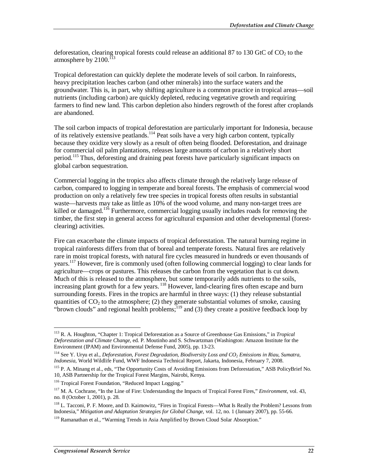deforestation, clearing tropical forests could release an additional 87 to 130 GtC of  $CO<sub>2</sub>$  to the atmosphere by  $2100$ .<sup> $113$ </sup>

Tropical deforestation can quickly deplete the moderate levels of soil carbon. In rainforests, heavy precipitation leaches carbon (and other minerals) into the surface waters and the groundwater. This is, in part, why shifting agriculture is a common practice in tropical areas—soil nutrients (including carbon) are quickly depleted, reducing vegetative growth and requiring farmers to find new land. This carbon depletion also hinders regrowth of the forest after croplands are abandoned.

The soil carbon impacts of tropical deforestation are particularly important for Indonesia, because of its relatively extensive peatlands.114 Peat soils have a very high carbon content, typically because they oxidize very slowly as a result of often being flooded. Deforestation, and drainage for commercial oil palm plantations, releases large amounts of carbon in a relatively short period.<sup>115</sup> Thus, deforesting and draining peat forests have particularly significant impacts on global carbon sequestration.

Commercial logging in the tropics also affects climate through the relatively large release of carbon, compared to logging in temperate and boreal forests. The emphasis of commercial wood production on only a relatively few tree species in tropical forests often results in substantial waste—harvests may take as little as 10% of the wood volume, and many non-target trees are killed or damaged.<sup>116</sup> Furthermore, commercial logging usually includes roads for removing the timber, the first step in general access for agricultural expansion and other developmental (forestclearing) activities.

Fire can exacerbate the climate impacts of tropical deforestation. The natural burning regime in tropical rainforests differs from that of boreal and temperate forests. Natural fires are relatively rare in moist tropical forests, with natural fire cycles measured in hundreds or even thousands of years.117 However, fire is commonly used (often following commercial logging) to clear lands for agriculture—crops or pastures. This releases the carbon from the vegetation that is cut down. Much of this is released to the atmosphere, but some temporarily adds nutrients to the soils, increasing plant growth for a few years. <sup>118</sup> However, land-clearing fires often escape and burn surrounding forests. Fires in the tropics are harmful in three ways: (1) they release substantial quantities of  $CO<sub>2</sub>$  to the atmosphere; (2) they generate substantial volumes of smoke, causing "brown clouds" and regional health problems; $^{119}$  and (3) they create a positive feedback loop by

-

<sup>113</sup> R. A. Houghton, "Chapter 1: Tropical Deforestation as a Source of Greenhouse Gas Emissions," in *Tropical Deforestation and Climate Change*, ed. P. Moutinho and S. Schwartzman (Washington: Amazon Institute for the Environment (IPAM) and Environmental Defense Fund, 2005), pp. 13-23.

<sup>&</sup>lt;sup>114</sup> See Y. Uryu et al., *Deforestation, Forest Degradation, Biodiversity Loss and CO<sub>2</sub> Emissions in Riau, Sumatra, Indonesia*, World Wildlife Fund, WWF Indonesia Technical Report, Jakarta, Indonesia, February 7, 2008.

<sup>115</sup> P. A. Minang et al., eds, "The Opportunity Costs of Avoiding Emissions from Deforestation," ASB PolicyBrief No. 10, ASB Partnership for the Tropical Forest Margins, Nairobi, Kenya.

<sup>&</sup>lt;sup>116</sup> Tropical Forest Foundation, "Reduced Impact Logging."

<sup>117</sup> M. A. Cochrane, "In the Line of Fire: Understanding the Impacts of Tropical Forest Fires," *Environment*, vol. 43, no. 8 (October 1, 2001), p. 28.

<sup>&</sup>lt;sup>118</sup> L. Tacconi, P. F. Moore, and D. Kaimowitz, "Fires in Tropical Forests—What Is Really the Problem? Lessons from Indonesia," *Mitigation and Adaptation Strategies for Global Change*, vol. 12, no. 1 (January 2007), pp. 55-66.

<sup>&</sup>lt;sup>119</sup> Ramanathan et al., "Warming Trends in Asia Amplified by Brown Cloud Solar Absorption."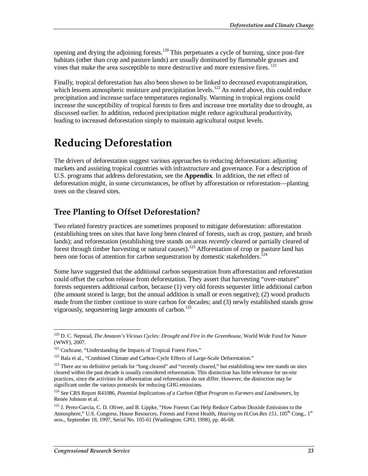opening and drying the adjoining forests.<sup>120</sup> This perpetuates a cycle of burning, since post-fire habitats (other than crop and pasture lands) are usually dominated by flammable grasses and vines that make the area susceptible to more destructive and more extensive fires.  $^{121}$ 

Finally, tropical deforestation has also been shown to be linked to decreased evapotranspiration, which lessens atmospheric moisture and precipitation levels.<sup>122</sup> As noted above, this could reduce precipitation and increase surface temperatures regionally. Warming in tropical regions could increase the susceptibility of tropical forests to fires and increase tree mortality due to drought, as discussed earlier. In addition, reduced precipitation might reduce agricultural productivity, leading to increased deforestation simply to maintain agricultural output levels.

## **Reducing Deforestation**

The drivers of deforestation suggest various approaches to reducing deforestation: adjusting markets and assisting tropical countries with infrastructure and governance. For a description of U.S. programs that address deforestation, see the **Appendix**. In addition, the net effect of deforestation might, in some circumstances, be offset by afforestation or reforestation—planting trees on the cleared sites.

### **Tree Planting to Offset Deforestation?**

Two related forestry practices are sometimes proposed to mitigate deforestation: afforestation (establishing trees on sites that have *long* been cleared of forests, such as crop, pasture, and brush lands); and reforestation (establishing tree stands on areas *recently* cleared or partially cleared of forest through timber harvesting or natural causes).<sup>123</sup> Afforestation of crop or pasture land has been one focus of attention for carbon sequestration by domestic stakeholders.<sup>124</sup>

Some have suggested that the additional carbon sequestration from afforestation and reforestation could offset the carbon release from deforestation. They assert that harvesting "over-mature" forests sequesters additional carbon, because (1) very old forests sequester little additional carbon (the amount stored is large, but the annual addition is small or even negative); (2) wood products made from the timber continue to store carbon for decades; and (3) newly established stands grow vigorously, sequestering large amounts of carbon.<sup>125</sup>

-

<sup>&</sup>lt;sup>120</sup> D. C. Nepstad, *The Amazon's Vicious Cycles: Drought and Fire in the Greenhouse*, World Wide Fund for Nature  $(WWF)$ ,  $2007$ .

<sup>&</sup>lt;sup>121</sup> Cochrane, "Understanding the Impacts of Tropical Forest Fires."

<sup>&</sup>lt;sup>122</sup> Bala et al., "Combined Climate and Carbon-Cycle Effects of Large-Scale Deforestation."

<sup>&</sup>lt;sup>123</sup> There are no definitive periods for "long cleared" and "recently cleared," but establishing new tree stands on sites cleared within the past decade is usually considered reforestation. This distinction has little relevance for on-site practices, since the activities for afforestation and reforestation do not differ. However, the distinction may be significant under the various protocols for reducing GHG emissions.

<sup>124</sup> See CRS Report R41086, *Potential Implications of a Carbon Offset Program to Farmers and Landowners*, by Renée Johnson et al.

<sup>&</sup>lt;sup>125</sup> J. Perez-Garcia, C. D. Oliver, and B. Lippke, "How Forests Can Help Reduce Carbon Dioxide Emissions to the Atmosphere," U.S. Congress, House Resources, Forests and Forest Health, *Hearing on H.Con.Res 151*, 105<sup>th</sup> Cong., 1<sup>st</sup> sess., September 18, 1997, Serial No. 105-61 (Washington: GPO, 1998), pp. 46-68.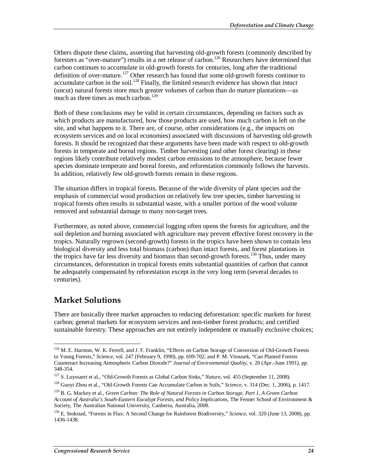Others dispute these claims, asserting that harvesting old-growth forests (commonly described by foresters as "over-mature") results in a net release of carbon.<sup>126</sup> Researchers have determined that carbon continues to accumulate in old-growth forests for centuries, long after the traditional definition of over-mature.<sup>127</sup> Other research has found that some old-growth forests continue to accumulate carbon in the soil.<sup>128</sup> Finally, the limited research evidence has shown that *intact* (uncut) natural forests store much greater volumes of carbon than do mature plantations—as much as three times as much carbon.<sup>129</sup>

Both of these conclusions may be valid in certain circumstances, depending on factors such as which products are manufactured, how those products are used, how much carbon is left on the site, and what happens to it. There are, of course, other considerations (e.g., the impacts on ecosystem services and on local economies) associated with discussions of harvesting old-growth forests. It should be recognized that these arguments have been made with respect to old-growth forests in temperate and boreal regions. Timber harvesting (and other forest clearing) in these regions likely contribute relatively modest carbon emissions to the atmosphere, because fewer species dominate temperate and boreal forests, and reforestation commonly follows the harvests. In addition, relatively few old-growth forests remain in these regions.

The situation differs in tropical forests. Because of the wide diversity of plant species and the emphasis of commercial wood production on relatively few tree species, timber harvesting in tropical forests often results in substantial waste, with a smaller portion of the wood volume removed and substantial damage to many non-target trees.

Furthermore, as noted above, commercial logging often opens the forests for agriculture, and the soil depletion and burning associated with agriculture may prevent effective forest recovery in the tropics. Naturally regrown (second-growth) forests in the tropics have been shown to contain less biological diversity and less total biomass (carbon) than intact forests, and forest plantations in the tropics have far less diversity and biomass than second-growth forests.<sup>130</sup> Thus, under many circumstances, deforestation in tropical forests emits substantial quantities of carbon that cannot be adequately compensated by reforestation except in the very long term (several decades to centuries).

## **Market Solutions**

There are basically three market approaches to reducing deforestation: specific markets for forest carbon; general markets for ecosystem services and non-timber forest products; and certified sustainable forestry. These approaches are not entirely independent or mutually exclusive choices;

<sup>-</sup><sup>126</sup> M. E. Harmon, W. K. Ferrell, and J. F. Franklin, "Effects on Carbon Storage of Conversion of Old-Growth Forests to Young Forests," *Science*, vol. 247 (February 9, 1990), pp. 699-702; and P. M. Vitousek, "Can Planted Forests Counteract Increasing Atmospheric Carbon Dioxide?" *Journal of Environmental Quality*, v. 20 (Apr.-June 1991), pp. 348-354.

 $^{127}$  S. Luyssaert et al., "Old-Growth Forests as Global Carbon Sinks," Nature, vol. 455 (September 11, 2008).<br><sup>128</sup> Guovi Zhou et al., "Old-Growth Forests Can Accumulate Carbon in Soils," Science, v. 314 (Dec. 1, 2006)

<sup>129</sup> B. G. Mackey et al., *Green Carbon: The Role of Natural Forests in Carbon Storage, Part 1, A Green Carbon Account of Australia's South-Eastern Eucalypt Forests, and Policy Implications*, The Fenner School of Environment & Society, The Australian National University, Canberra, Australia, 2008.

<sup>130</sup> E. Stokstad, "Forests in Flux: A Second Change for Rainforest Biodiversity," *Science*, vol. 320 (June 13, 2008), pp. 1436-1438.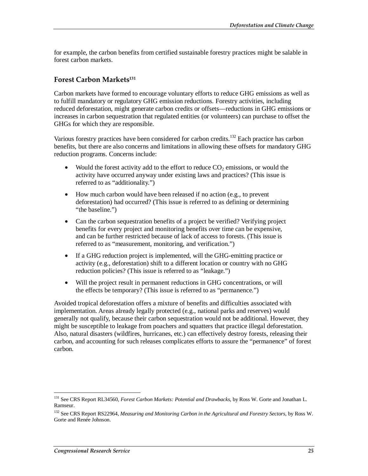for example, the carbon benefits from certified sustainable forestry practices might be salable in forest carbon markets.

#### **Forest Carbon Markets131**

Carbon markets have formed to encourage voluntary efforts to reduce GHG emissions as well as to fulfill mandatory or regulatory GHG emission reductions. Forestry activities, including reduced deforestation, might generate carbon credits or offsets—reductions in GHG emissions or increases in carbon sequestration that regulated entities (or volunteers) can purchase to offset the GHGs for which they are responsible.

Various forestry practices have been considered for carbon credits.132 Each practice has carbon benefits, but there are also concerns and limitations in allowing these offsets for mandatory GHG reduction programs. Concerns include:

- Would the forest activity add to the effort to reduce  $CO_2$  emissions, or would the activity have occurred anyway under existing laws and practices? (This issue is referred to as "additionality.")
- How much carbon would have been released if no action (e.g., to prevent deforestation) had occurred? (This issue is referred to as defining or determining "the baseline."
- Can the carbon sequestration benefits of a project be verified? Verifying project benefits for every project and monitoring benefits over time can be expensive, and can be further restricted because of lack of access to forests. (This issue is referred to as "measurement, monitoring, and verification.")
- If a GHG reduction project is implemented, will the GHG-emitting practice or activity (e.g., deforestation) shift to a different location or country with no GHG reduction policies? (This issue is referred to as "leakage.")
- Will the project result in permanent reductions in GHG concentrations, or will the effects be temporary? (This issue is referred to as "permanence.")

Avoided tropical deforestation offers a mixture of benefits and difficulties associated with implementation. Areas already legally protected (e.g., national parks and reserves) would generally not qualify, because their carbon sequestration would not be additional. However, they might be susceptible to leakage from poachers and squatters that practice illegal deforestation. Also, natural disasters (wildfires, hurricanes, etc.) can effectively destroy forests, releasing their carbon, and accounting for such releases complicates efforts to assure the "permanence" of forest carbon.

<sup>-</sup>131 See CRS Report RL34560, *Forest Carbon Markets: Potential and Drawbacks*, by Ross W. Gorte and Jonathan L. Ramseur.

<sup>132</sup> See CRS Report RS22964, *Measuring and Monitoring Carbon in the Agricultural and Forestry Sectors*, by Ross W. Gorte and Renée Johnson.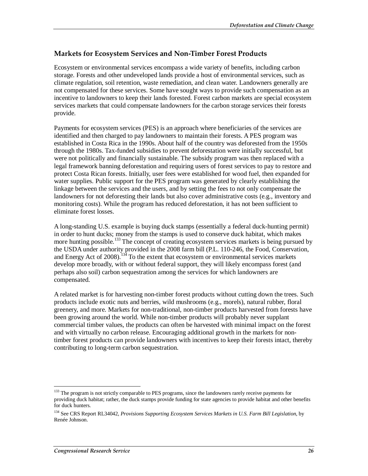### **Markets for Ecosystem Services and Non-Timber Forest Products**

Ecosystem or environmental services encompass a wide variety of benefits, including carbon storage. Forests and other undeveloped lands provide a host of environmental services, such as climate regulation, soil retention, waste remediation, and clean water. Landowners generally are not compensated for these services. Some have sought ways to provide such compensation as an incentive to landowners to keep their lands forested. Forest carbon markets are special ecosystem services markets that could compensate landowners for the carbon storage services their forests provide.

Payments for ecosystem services (PES) is an approach where beneficiaries of the services are identified and then charged to pay landowners to maintain their forests. A PES program was established in Costa Rica in the 1990s. About half of the country was deforested from the 1950s through the 1980s. Tax-funded subsidies to prevent deforestation were initially successful, but were not politically and financially sustainable. The subsidy program was then replaced with a legal framework banning deforestation and requiring users of forest services to pay to restore and protect Costa Rican forests. Initially, user fees were established for wood fuel, then expanded for water supplies. Public support for the PES program was generated by clearly establishing the linkage between the services and the users, and by setting the fees to not only compensate the landowners for not deforesting their lands but also cover administrative costs (e.g., inventory and monitoring costs). While the program has reduced deforestation, it has not been sufficient to eliminate forest losses.

A long-standing U.S. example is buying duck stamps (essentially a federal duck-hunting permit) in order to hunt ducks; money from the stamps is used to conserve duck habitat, which makes more hunting possible.<sup>133</sup> The concept of creating ecosystem services markets is being pursued by the USDA under authority provided in the 2008 farm bill (P.L. 110-246, the Food, Conservation, and Energy Act of  $2008$ ).<sup>134</sup> To the extent that ecosystem or environmental services markets develop more broadly, with or without federal support, they will likely encompass forest (and perhaps also soil) carbon sequestration among the services for which landowners are compensated.

A related market is for harvesting non-timber forest products without cutting down the trees. Such products include exotic nuts and berries, wild mushrooms (e.g., morels), natural rubber, floral greenery, and more. Markets for non-traditional, non-timber products harvested from forests have been growing around the world. While non-timber products will probably never supplant commercial timber values, the products can often be harvested with minimal impact on the forest and with virtually no carbon release. Encouraging additional growth in the markets for nontimber forest products can provide landowners with incentives to keep their forests intact, thereby contributing to long-term carbon sequestration.

<u>.</u>

<sup>&</sup>lt;sup>133</sup> The program is not strictly comparable to PES programs, since the landowners rarely receive payments for providing duck habitat; rather, the duck stamps provide funding for state agencies to provide habitat and other benefits for duck hunters.

<sup>134</sup> See CRS Report RL34042, *Provisions Supporting Ecosystem Services Markets in U.S. Farm Bill Legislation*, by Renée Johnson.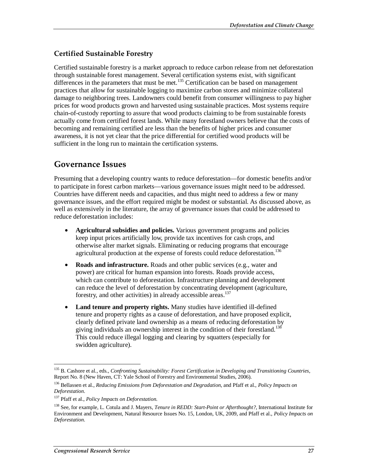### **Certified Sustainable Forestry**

Certified sustainable forestry is a market approach to reduce carbon release from net deforestation through sustainable forest management. Several certification systems exist, with significant differences in the parameters that must be met.<sup>135</sup> Certification can be based on management practices that allow for sustainable logging to maximize carbon stores and minimize collateral damage to neighboring trees. Landowners could benefit from consumer willingness to pay higher prices for wood products grown and harvested using sustainable practices. Most systems require chain-of-custody reporting to assure that wood products claiming to be from sustainable forests actually come from certified forest lands. While many forestland owners believe that the costs of becoming and remaining certified are less than the benefits of higher prices and consumer awareness, it is not yet clear that the price differential for certified wood products will be sufficient in the long run to maintain the certification systems.

### **Governance Issues**

Presuming that a developing country wants to reduce deforestation—for domestic benefits and/or to participate in forest carbon markets—various governance issues might need to be addressed. Countries have different needs and capacities, and thus might need to address a few or many governance issues, and the effort required might be modest or substantial. As discussed above, as well as extensively in the literature, the array of governance issues that could be addressed to reduce deforestation includes:

- **Agricultural subsidies and policies.** Various government programs and policies keep input prices artificially low, provide tax incentives for cash crops, and otherwise alter market signals. Eliminating or reducing programs that encourage agricultural production at the expense of forests could reduce deforestation.<sup>136</sup>
- **Roads and infrastructure.** Roads and other public services (e.g., water and power) are critical for human expansion into forests. Roads provide access, which can contribute to deforestation. Infrastructure planning and development can reduce the level of deforestation by concentrating development (agriculture, forestry, and other activities) in already accessible areas.<sup>137</sup>
- **Land tenure and property rights.** Many studies have identified ill-defined tenure and property rights as a cause of deforestation, and have proposed explicit, clearly defined private land ownership as a means of reducing deforestation by giving individuals an ownership interest in the condition of their forestland.<sup>138</sup> This could reduce illegal logging and clearing by squatters (especially for swidden agriculture).

-

<sup>135</sup> B. Cashore et al., eds., *Confronting Sustainability: Forest Certification in Developing and Transitioning Countries*, Report No. 8 (New Haven, CT: Yale School of Forestry and Environmental Studies, 2006).

<sup>136</sup> Bellassen et al., *Reducing Emissions from Deforestation and Degradation*, and Pfaff et al., *Policy Impacts on Deforestation*.

<sup>137</sup> Pfaff et al., *Policy Impacts on Deforestation*.

<sup>138</sup> See, for example, L. Cotula and J. Mayers, *Tenure in REDD: Start-Point or Afterthought?*, International Institute for Environment and Development, Natural Resource Issues No. 15, London, UK, 2009, and Pfaff et al., *Policy Impacts on Deforestation*.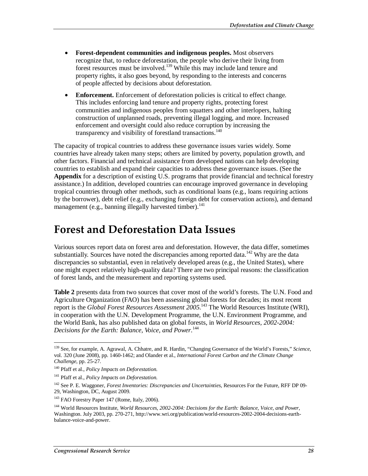- **Forest-dependent communities and indigenous peoples.** Most observers recognize that, to reduce deforestation, the people who derive their living from forest resources must be involved.139 While this may include land tenure and property rights, it also goes beyond, by responding to the interests and concerns of people affected by decisions about deforestation.
- **Enforcement.** Enforcement of deforestation policies is critical to effect change. This includes enforcing land tenure and property rights, protecting forest communities and indigenous peoples from squatters and other interlopers, halting construction of unplanned roads, preventing illegal logging, and more. Increased enforcement and oversight could also reduce corruption by increasing the transparency and visibility of forestland transactions.<sup>140</sup>

The capacity of tropical countries to address these governance issues varies widely. Some countries have already taken many steps; others are limited by poverty, population growth, and other factors. Financial and technical assistance from developed nations can help developing countries to establish and expand their capacities to address these governance issues. (See the **Appendix** for a description of existing U.S. programs that provide financial and technical forestry assistance.) In addition, developed countries can encourage improved governance in developing tropical countries through other methods, such as conditional loans (e.g., loans requiring actions by the borrower), debt relief (e.g., exchanging foreign debt for conservation actions), and demand management (e.g., banning illegally harvested timber).<sup>141</sup>

## **Forest and Deforestation Data Issues**

Various sources report data on forest area and deforestation. However, the data differ, sometimes substantially. Sources have noted the discrepancies among reported data.<sup>142</sup> Why are the data discrepancies so substantial, even in relatively developed areas (e.g., the United States), where one might expect relatively high-quality data? There are two principal reasons: the classification of forest lands, and the measurement and reporting systems used.

**Table 2** presents data from two sources that cover most of the world's forests. The U.N. Food and Agriculture Organization (FAO) has been assessing global forests for decades; its most recent report is the *Global Forest Resources Assessment* 2005.<sup>143</sup> The World Resources Institute (WRI), in cooperation with the U.N. Development Programme, the U.N. Environment Programme, and the World Bank, has also published data on global forests, in *World Resources, 2002-2004: Decisions for the Earth: Balance, Voice, and Power*. 144

<sup>-</sup>139 See, for example, A. Agrawal, A. Chhatre, and R. Hardin, "Changing Governance of the World's Forests," *Science*, vol. 320 (June 2008), pp. 1460-1462; and Olander et al., *International Forest Carbon and the Climate Change Challenge*, pp. 25-27.

<sup>140</sup> Pfaff et al., *Policy Impacts on Deforestation*.

<sup>141</sup> Pfaff et al., *Policy Impacts on Deforestation*.

<sup>142</sup> See P. E. Waggoner, *Forest Inventories: Discrepancies and Uncertainties*, Resources For the Future, RFF DP 09- 29, Washington, DC, August 2009.

<sup>&</sup>lt;sup>143</sup> FAO Forestry Paper 147 (Rome, Italy, 2006).

<sup>144</sup> World Resources Institute, *World Resources, 2002-2004: Decisions for the Earth: Balance, Voice, and Power*, Washington. July 2003, pp. 270-271, http://www.wri.org/publication/world-resources-2002-2004-decisions-earthbalance-voice-and-power.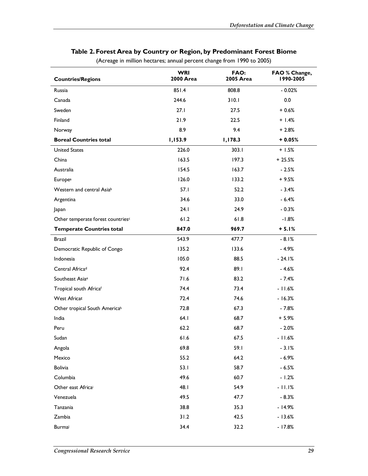| <b>Countries/Regions</b>          | <b>WRI</b><br><b>2000 Area</b> | FAO:<br>2005 Area | FAO % Change,<br>1990-2005 |
|-----------------------------------|--------------------------------|-------------------|----------------------------|
| Russia                            | 851.4                          | 808.8             | $-0.02%$                   |
| Canada                            | 244.6                          | 310.1             | 0.0                        |
| Sweden                            | 27.1                           | 27.5              | $+0.6%$                    |
| Finland                           | 21.9                           | 22.5              | $+1.4%$                    |
| Norway                            | 8.9                            | 9.4               | $+2.8%$                    |
| <b>Boreal Countries total</b>     | 1,153.9                        | 1,178.3           | $+0.05%$                   |
| <b>United States</b>              | 226.0                          | 303.1             | $+1.5%$                    |
| China                             | 163.5                          | 197.3             | $+25.5%$                   |
| Australia                         | 154.5                          | 163.7             | $-2.5%$                    |
| <b>Europea</b>                    | 126.0                          | 133.2             | $+9.5%$                    |
| Western and central Asiab         | 57.1                           | 52.2              | $-3.4%$                    |
| Argentina                         | 34.6                           | 33.0              | $-6.4%$                    |
| Japan                             | 24.1                           | 24.9              | $-0.3%$                    |
| Other temperate forest countriesc | 61.2                           | 61.8              | $-1.8%$                    |
| <b>Temperate Countries total</b>  | 847.0                          | 969.7             | $+ 5.1%$                   |
| Brazil                            | 543.9                          | 477.7             | $-8.1%$                    |
| Democratic Republic of Congo      | 135.2                          | 133.6             | $-4.9%$                    |
| Indonesia                         | 105.0                          | 88.5              | $-24.1%$                   |
| Central Africad                   | 92.4                           | 89.1              | $-4.6%$                    |
| Southeast Asia <sup>e</sup>       | 71.6                           | 83.2              | $-7.4%$                    |
| Tropical south Africaf            | 74.4                           | 73.4              | $-11.6%$                   |
| West Africas                      | 72.4                           | 74.6              | $-16.3%$                   |
| Other tropical South Americah     | 72.8                           | 67.3              | $-7.8%$                    |
| India                             | 64.1                           | 68.7              | $+5.9%$                    |
| Peru                              | 62.2                           | 68.7              | $-2.0%$                    |
| Sudan                             | $61.6$                         | 67.5              | $-11.6%$                   |
| Angola                            | 69.8                           | 59.1              | $-3.1%$                    |
| Mexico                            | 55.2                           | 64.2              | $-6.9%$                    |
| <b>Bolivia</b>                    | 53.1                           | 58.7              | $-6.5%$                    |
| Columbia                          | 49.6                           | 60.7              | $-1.2%$                    |
| Other east Africai                | 48.1                           | 54.9              | $-11.1%$                   |
| Venezuela                         | 49.5                           | 47.7              | $-8.3%$                    |
| Tanzania                          | 38.8                           | 35.3              | $-14.9%$                   |
| Zambia                            | 31.2                           | 42.5              | $-13.6%$                   |
| Burmai                            | 34.4                           | 32.2              | $-17.8%$                   |

#### **Table 2. Forest Area by Country or Region, by Predominant Forest Biome**

(Acreage in million hectares; annual percent change from 1990 to 2005)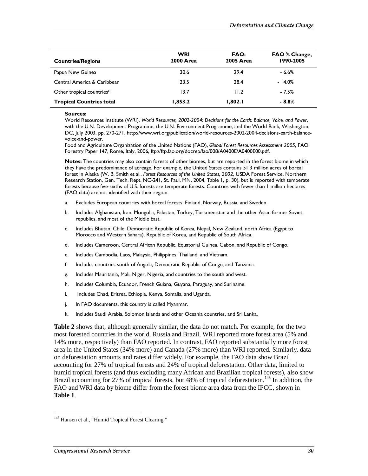| <b>Countries/Regions</b>        | <b>WRI</b><br><b>2000 Area</b> | FAO:<br><b>2005 Area</b> | <b>FAO</b> % Change,<br>1990-2005 |
|---------------------------------|--------------------------------|--------------------------|-----------------------------------|
| Papua New Guinea                | 30.6                           | 29.4                     | $-6.6%$                           |
| Central America & Caribbean     | 23.5                           | 28.4                     | $-14.0%$                          |
| Other tropical countriesk       | 13.7                           | 11.2                     | $-7.5%$                           |
| <b>Tropical Countries total</b> | 1,853.2                        | 1,802.1                  | $-8.8%$                           |

#### **Sources:**

World Resources Institute (WRI), *World Resources, 2002-2004: Decisions for the Earth: Balance, Voice, and Power*, with the U.N. Development Programme, the U.N. Environment Programme, and the World Bank, Washington, DC, July 2003, pp. 270-271, http://www.wri.org/publication/world-resources-2002-2004-decisions-earth-balancevoice-and-power.

Food and Agriculture Organization of the United Nations (FAO), *Global Forest Resources Assessment 2005*, FAO Forestry Paper 147, Rome, Italy, 2006, ftp://ftp.fao.org/docrep/fao/008/A0400E/A0400E00.pdf.

**Notes:** The countries may also contain forests of other biomes, but are reported in the forest biome in which they have the predominance of acreage. For example, the United States contains 51.3 million acres of boreal forest in Alaska (W. B. Smith et al., *Forest Resources of the United States, 2002*, USDA Forest Service, Northern Research Station, Gen. Tech. Rept. NC-241, St. Paul, MN, 2004, Table 1, p. 30), but is reported with temperate forests because five-sixths of U.S. forests are temperate forests. Countries with fewer than 1 million hectares (FAO data) are not identified with their region.

- a. Excludes European countries with boreal forests: Finland, Norway, Russia, and Sweden.
- b. Includes Afghanistan, Iran, Mongolia, Pakistan, Turkey, Turkmenistan and the other Asian former Soviet republics, and most of the Middle East.
- c. Includes Bhutan, Chile, Democratic Republic of Korea, Nepal, New Zealand, north Africa (Egypt to Morocco and Western Sahara), Republic of Korea, and Republic of South Africa.
- d. Includes Cameroon, Central African Republic, Equatorial Guinea, Gabon, and Republic of Congo.
- e. Includes Cambodia, Laos, Malaysia, Philippines, Thailand, and Vietnam.
- f. Includes countries south of Angola, Democratic Republic of Congo, and Tanzania.
- g. Includes Mauritania, Mali, Niger, Nigeria, and countries to the south and west.
- h. Includes Columbia, Ecuador, French Guiana, Guyana, Paraguay, and Suriname.
- i. Includes Chad, Eritrea, Ethiopia, Kenya, Somalia, and Uganda.
- j. In FAO documents, this country is called Myanmar.
- k. Includes Saudi Arabia, Solomon Islands and other Oceania countries, and Sri Lanka.

**Table 2** shows that, although generally similar, the data do not match. For example, for the two most forested countries in the world, Russia and Brazil, WRI reported more forest area (5% and 14% more, respectively) than FAO reported. In contrast, FAO reported substantially more forest area in the United States (34% more) and Canada (27% more) than WRI reported. Similarly, data on deforestation amounts and rates differ widely. For example, the FAO data show Brazil accounting for 27% of tropical forests and 24% of tropical deforestation. Other data, limited to humid tropical forests (and thus excluding many African and Brazilian tropical forests), also show Brazil accounting for 27% of tropical forests, but 48% of tropical deforestation.<sup>145</sup> In addition, the FAO and WRI data by biome differ from the forest biome area data from the IPCC, shown in **Table 1**.

-

<sup>&</sup>lt;sup>145</sup> Hansen et al., "Humid Tropical Forest Clearing."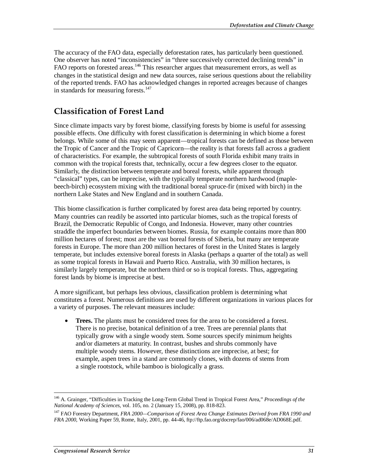The accuracy of the FAO data, especially deforestation rates, has particularly been questioned. One observer has noted "inconsistencies" in "three successively corrected declining trends" in FAO reports on forested areas.<sup>146</sup> This researcher argues that measurement errors, as well as changes in the statistical design and new data sources, raise serious questions about the reliability of the reported trends. FAO has acknowledged changes in reported acreages because of changes in standards for measuring forests.<sup>147</sup>

### **Classification of Forest Land**

Since climate impacts vary by forest biome, classifying forests by biome is useful for assessing possible effects. One difficulty with forest classification is determining in which biome a forest belongs. While some of this may seem apparent—tropical forests can be defined as those between the Tropic of Cancer and the Tropic of Capricorn—the reality is that forests fall across a gradient of characteristics. For example, the subtropical forests of south Florida exhibit many traits in common with the tropical forests that, technically, occur a few degrees closer to the equator. Similarly, the distinction between temperate and boreal forests, while apparent through "classical" types, can be imprecise, with the typically temperate northern hardwood (maplebeech-birch) ecosystem mixing with the traditional boreal spruce-fir (mixed with birch) in the northern Lake States and New England and in southern Canada.

This biome classification is further complicated by forest area data being reported by country. Many countries can readily be assorted into particular biomes, such as the tropical forests of Brazil, the Democratic Republic of Congo, and Indonesia. However, many other countries straddle the imperfect boundaries between biomes. Russia, for example contains more than 800 million hectares of forest; most are the vast boreal forests of Siberia, but many are temperate forests in Europe. The more than 200 million hectares of forest in the United States is largely temperate, but includes extensive boreal forests in Alaska (perhaps a quarter of the total) as well as some tropical forests in Hawaii and Puerto Rico. Australia, with 30 million hectares, is similarly largely temperate, but the northern third or so is tropical forests. Thus, aggregating forest lands by biome is imprecise at best.

A more significant, but perhaps less obvious, classification problem is determining what constitutes a forest. Numerous definitions are used by different organizations in various places for a variety of purposes. The relevant measures include:

• **Trees.** The plants must be considered trees for the area to be considered a forest. There is no precise, botanical definition of a tree. Trees are perennial plants that typically grow with a single woody stem. Some sources specify minimum heights and/or diameters at maturity. In contrast, bushes and shrubs commonly have multiple woody stems. However, these distinctions are imprecise, at best; for example, aspen trees in a stand are commonly clones, with dozens of stems from a single rootstock, while bamboo is biologically a grass.

<sup>-</sup>146 A. Grainger, "Difficulties in Tracking the Long-Term Global Trend in Tropical Forest Area," *Proceedings of the National Academy of Sciences*, vol. 105, no. 2 (January 15, 2008), pp. 818-823.

<sup>147</sup> FAO Forestry Department, *FRA 2000—Comparison of Forest Area Change Estimates Derived from FRA 1990 and FRA 2000*, Working Paper 59, Rome, Italy, 2001, pp. 44-46, ftp://ftp.fao.org/docrep/fao/006/ad068e/AD068E.pdf.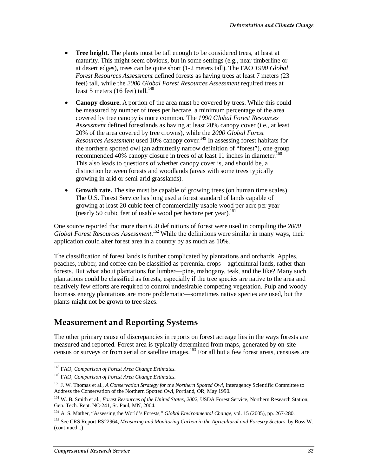- Tree height. The plants must be tall enough to be considered trees, at least at maturity. This might seem obvious, but in some settings (e.g., near timberline or at desert edges), trees can be quite short (1-2 meters tall). The FAO *1990 Global Forest Resources Assessment* defined forests as having trees at least 7 meters (23 feet) tall, while the *2000 Global Forest Resources Assessment* required trees at least 5 meters (16 feet) tall. $148$
- **Canopy closure.** A portion of the area must be covered by trees. While this could be measured by number of trees per hectare, a minimum percentage of the area covered by tree canopy is more common. The *1990 Global Forest Resources Assessment* defined forestlands as having at least 20% canopy cover (i.e., at least 20% of the area covered by tree crowns), while the *2000 Global Forest Resources Assessment* used 10% canopy cover.<sup>149</sup> In assessing forest habitats for the northern spotted owl (an admittedly narrow definition of "forest"), one group recommended 40% canopy closure in trees of at least 11 inches in diameter.<sup>150</sup> This also leads to questions of whether canopy cover is, and should be, a distinction between forests and woodlands (areas with some trees typically growing in arid or semi-arid grasslands).
- **Growth rate.** The site must be capable of growing trees (on human time scales). The U.S. Forest Service has long used a forest standard of lands capable of growing at least 20 cubic feet of commercially usable wood per acre per year (nearly 50 cubic feet of usable wood per hectare per year).<sup>151</sup>

One source reported that more than 650 definitions of forest were used in compiling the *2000 Global Forest Resources Assessment*. 152 While the definitions were similar in many ways, their application could alter forest area in a country by as much as 10%.

The classification of forest lands is further complicated by plantations and orchards. Apples, peaches, rubber, and coffee can be classified as perennial crops—agricultural lands, rather than forests. But what about plantations for lumber—pine, mahogany, teak, and the like? Many such plantations could be classified as forests, especially if the tree species are native to the area and relatively few efforts are required to control undesirable competing vegetation. Pulp and woody biomass energy plantations are more problematic—sometimes native species are used, but the plants might not be grown to tree sizes.

## **Measurement and Reporting Systems**

The other primary cause of discrepancies in reports on forest acreage lies in the ways forests are measured and reported. Forest area is typically determined from maps, generated by on-site census or surveys or from aerial or satellite images.153 For all but a few forest areas, censuses are

<sup>&</sup>lt;u>.</u> 148 FAO, *Comparison of Forest Area Change Estimates*.

<sup>149</sup> FAO, *Comparison of Forest Area Change Estimates*.

<sup>&</sup>lt;sup>150</sup> J. W. Thomas et al., *A Conservation Strategy for the Northern Spotted Owl*, Interagency Scientific Committee to Address the Conservation of the Northern Spotted Owl, Portland, OR, May 1990.

<sup>151</sup> W. B. Smith et al., *Forest Resources of the United States, 2002*, USDA Forest Service, Northern Research Station, Gen. Tech. Rept. NC-241, St. Paul, MN, 2004.

<sup>152</sup> A. S. Mather, "Assessing the World's Forests," *Global Environmental Change*, vol. 15 (2005), pp. 267-280.

<sup>153</sup> See CRS Report RS22964, *Measuring and Monitoring Carbon in the Agricultural and Forestry Sectors*, by Ross W. (continued...)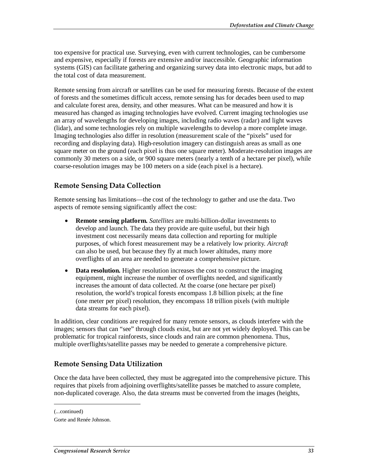too expensive for practical use. Surveying, even with current technologies, can be cumbersome and expensive, especially if forests are extensive and/or inaccessible. Geographic information systems (GIS) can facilitate gathering and organizing survey data into electronic maps, but add to the total cost of data measurement.

Remote sensing from aircraft or satellites can be used for measuring forests. Because of the extent of forests and the sometimes difficult access, remote sensing has for decades been used to map and calculate forest area, density, and other measures. What can be measured and how it is measured has changed as imaging technologies have evolved. Current imaging technologies use an array of wavelengths for developing images, including radio waves (radar) and light waves (lidar), and some technologies rely on multiple wavelengths to develop a more complete image. Imaging technologies also differ in resolution (measurement scale of the "pixels" used for recording and displaying data). High-resolution imagery can distinguish areas as small as one square meter on the ground (each pixel is thus one square meter). Moderate-resolution images are commonly 30 meters on a side, or 900 square meters (nearly a tenth of a hectare per pixel), while coarse-resolution images may be 100 meters on a side (each pixel is a hectare).

### **Remote Sensing Data Collection**

Remote sensing has limitations—the cost of the technology to gather and use the data. Two aspects of remote sensing significantly affect the cost:

- **Remote sensing platform.** *Satellites* are multi-billion-dollar investments to develop and launch. The data they provide are quite useful, but their high investment cost necessarily means data collection and reporting for multiple purposes, of which forest measurement may be a relatively low priority. *Aircraft* can also be used, but because they fly at much lower altitudes, many more overflights of an area are needed to generate a comprehensive picture.
- **Data resolution.** Higher resolution increases the cost to construct the imaging equipment, might increase the number of overflights needed, and significantly increases the amount of data collected. At the coarse (one hectare per pixel) resolution, the world's tropical forests encompass 1.8 billion pixels; at the fine (one meter per pixel) resolution, they encompass 18 trillion pixels (with multiple data streams for each pixel).

In addition, clear conditions are required for many remote sensors, as clouds interfere with the images; sensors that can "see" through clouds exist, but are not yet widely deployed. This can be problematic for tropical rainforests, since clouds and rain are common phenomena. Thus, multiple overflights/satellite passes may be needed to generate a comprehensive picture.

#### **Remote Sensing Data Utilization**

Once the data have been collected, they must be aggregated into the comprehensive picture. This requires that pixels from adjoining overflights/satellite passes be matched to assure complete, non-duplicated coverage. Also, the data streams must be converted from the images (heights,

1

<sup>(...</sup>continued)

Gorte and Renée Johnson.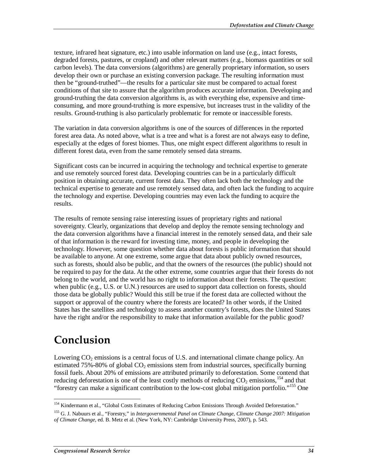texture, infrared heat signature, etc.) into usable information on land use (e.g., intact forests, degraded forests, pastures, or cropland) and other relevant matters (e.g., biomass quantities or soil carbon levels). The data conversions (algorithms) are generally proprietary information, so users develop their own or purchase an existing conversion package. The resulting information must then be "ground-truthed"—the results for a particular site must be compared to actual forest conditions of that site to assure that the algorithm produces accurate information. Developing and ground-truthing the data conversion algorithms is, as with everything else, expensive and timeconsuming, and more ground-truthing is more expensive, but increases trust in the validity of the results. Ground-truthing is also particularly problematic for remote or inaccessible forests.

The variation in data conversion algorithms is one of the sources of differences in the reported forest area data. As noted above, what is a tree and what is a forest are not always easy to define, especially at the edges of forest biomes. Thus, one might expect different algorithms to result in different forest data, even from the same remotely sensed data streams.

Significant costs can be incurred in acquiring the technology and technical expertise to generate and use remotely sourced forest data. Developing countries can be in a particularly difficult position in obtaining accurate, current forest data. They often lack both the technology and the technical expertise to generate and use remotely sensed data, and often lack the funding to acquire the technology and expertise. Developing countries may even lack the funding to acquire the results.

The results of remote sensing raise interesting issues of proprietary rights and national sovereignty. Clearly, organizations that develop and deploy the remote sensing technology and the data conversion algorithms have a financial interest in the remotely sensed data, and their sale of that information is the reward for investing time, money, and people in developing the technology. However, some question whether data about forests is public information that should be available to anyone. At one extreme, some argue that data about publicly owned resources, such as forests, should also be public, and that the owners of the resources (the public) should not be required to pay for the data. At the other extreme, some countries argue that their forests do not belong to the world, and the world has no right to information about their forests. The question: when public (e.g., U.S. or U.N.) resources are used to support data collection on forests, should those data be globally public? Would this still be true if the forest data are collected without the support or approval of the country where the forests are located? In other words, if the United States has the satellites and technology to assess another country's forests, does the United States have the right and/or the responsibility to make that information available for the public good?

## **Conclusion**

Lowering  $CO<sub>2</sub>$  emissions is a central focus of U.S. and international climate change policy. An estimated  $75\% - 80\%$  of global  $CO<sub>2</sub>$  emissions stem from industrial sources, specifically burning fossil fuels. About 20% of emissions are attributed primarily to deforestation. Some contend that reducing deforestation is one of the least costly methods of reducing  $CO_2$  emissions, <sup>154</sup> and that "forestry can make a significant contribution to the low-cost global mitigation portfolio."155 One

<sup>-</sup><sup>154</sup> Kindermann et al., "Global Costs Estimates of Reducing Carbon Emissions Through Avoided Deforestation."

<sup>155</sup> G. J. Nabuurs et al., "Forestry," in *Intergovernmental Panel on Climate Change, Climate Change 2007: Mitigation of Climate Change*, ed. B. Metz et al. (New York, NY: Cambridge University Press, 2007), p. 543.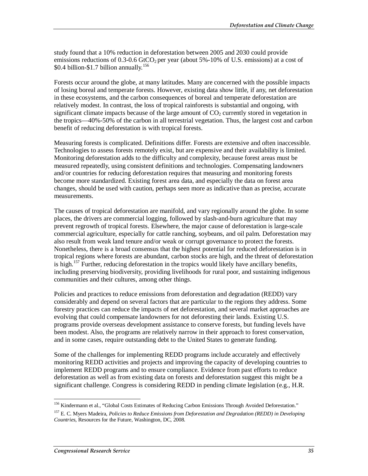study found that a 10% reduction in deforestation between 2005 and 2030 could provide emissions reductions of 0.3-0.6 GtCO<sub>2</sub> per year (about 5%-10% of U.S. emissions) at a cost of \$0.4 billion-\$1.7 billion annually.<sup>156</sup>

Forests occur around the globe, at many latitudes. Many are concerned with the possible impacts of losing boreal and temperate forests. However, existing data show little, if any, net deforestation in these ecosystems, and the carbon consequences of boreal and temperate deforestation are relatively modest. In contrast, the loss of tropical rainforests is substantial and ongoing, with significant climate impacts because of the large amount of  $CO<sub>2</sub>$  currently stored in vegetation in the tropics—40%-50% of the carbon in all terrestrial vegetation. Thus, the largest cost and carbon benefit of reducing deforestation is with tropical forests.

Measuring forests is complicated. Definitions differ. Forests are extensive and often inaccessible. Technologies to assess forests remotely exist, but are expensive and their availability is limited. Monitoring deforestation adds to the difficulty and complexity, because forest areas must be measured repeatedly, using consistent definitions and technologies. Compensating landowners and/or countries for reducing deforestation requires that measuring and monitoring forests become more standardized. Existing forest area data, and especially the data on forest area changes, should be used with caution, perhaps seen more as indicative than as precise, accurate measurements.

The causes of tropical deforestation are manifold, and vary regionally around the globe. In some places, the drivers are commercial logging, followed by slash-and-burn agriculture that may prevent regrowth of tropical forests. Elsewhere, the major cause of deforestation is large-scale commercial agriculture, especially for cattle ranching, soybeans, and oil palm. Deforestation may also result from weak land tenure and/or weak or corrupt governance to protect the forests. Nonetheless, there is a broad consensus that the highest potential for reduced deforestation is in tropical regions where forests are abundant, carbon stocks are high, and the threat of deforestation is high.<sup>157</sup> Further, reducing deforestation in the tropics would likely have ancillary benefits, including preserving biodiversity, providing livelihoods for rural poor, and sustaining indigenous communities and their cultures, among other things.

Policies and practices to reduce emissions from deforestation and degradation (REDD) vary considerably and depend on several factors that are particular to the regions they address. Some forestry practices can reduce the impacts of net deforestation, and several market approaches are evolving that could compensate landowners for not deforesting their lands. Existing U.S. programs provide overseas development assistance to conserve forests, but funding levels have been modest. Also, the programs are relatively narrow in their approach to forest conservation, and in some cases, require outstanding debt to the United States to generate funding.

Some of the challenges for implementing REDD programs include accurately and effectively monitoring REDD activities and projects and improving the capacity of developing countries to implement REDD programs and to ensure compliance. Evidence from past efforts to reduce deforestation as well as from existing data on forests and deforestation suggest this might be a significant challenge. Congress is considering REDD in pending climate legislation (e.g., H.R.

<sup>-</sup><sup>156</sup> Kindermann et al., "Global Costs Estimates of Reducing Carbon Emissions Through Avoided Deforestation."

<sup>157</sup> E. C. Myers Madeira, *Policies to Reduce Emissions from Deforestation and Degradation (REDD) in Developing Countries*, Resources for the Future, Washington, DC, 2008.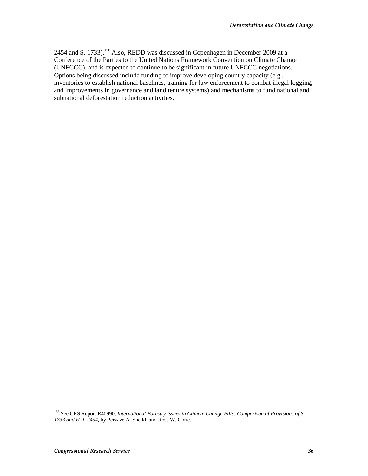2454 and S. 1733).<sup>158</sup> Also, REDD was discussed in Copenhagen in December 2009 at a Conference of the Parties to the United Nations Framework Convention on Climate Change (UNFCCC), and is expected to continue to be significant in future UNFCCC negotiations. Options being discussed include funding to improve developing country capacity (e.g., inventories to establish national baselines, training for law enforcement to combat illegal logging, and improvements in governance and land tenure systems) and mechanisms to fund national and subnational deforestation reduction activities.

-

<sup>158</sup> See CRS Report R40990, *International Forestry Issues in Climate Change Bills: Comparison of Provisions of S. 1733 and H.R. 2454*, by Pervaze A. Sheikh and Ross W. Gorte.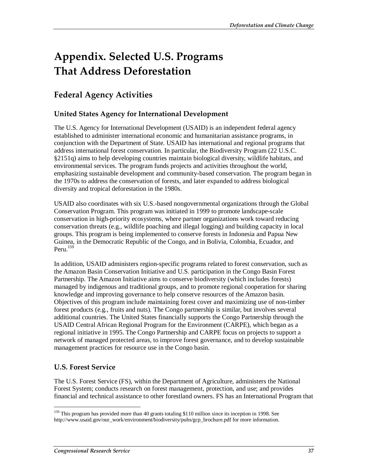# **Appendix. Selected U.S. Programs That Address Deforestation**

## **Federal Agency Activities**

### **United States Agency for International Development**

The U.S. Agency for International Development (USAID) is an independent federal agency established to administer international economic and humanitarian assistance programs, in conjunction with the Department of State. USAID has international and regional programs that address international forest conservation. In particular, the Biodiversity Program (22 U.S.C. §2151q) aims to help developing countries maintain biological diversity, wildlife habitats, and environmental services. The program funds projects and activities throughout the world, emphasizing sustainable development and community-based conservation. The program began in the 1970s to address the conservation of forests, and later expanded to address biological diversity and tropical deforestation in the 1980s.

USAID also coordinates with six U.S.-based nongovernmental organizations through the Global Conservation Program. This program was initiated in 1999 to promote landscape-scale conservation in high-priority ecosystems, where partner organizations work toward reducing conservation threats (e.g., wildlife poaching and illegal logging) and building capacity in local groups. This program is being implemented to conserve forests in Indonesia and Papua New Guinea, in the Democratic Republic of the Congo, and in Bolivia, Colombia, Ecuador, and Peru. $159$ 

In addition, USAID administers region-specific programs related to forest conservation, such as the Amazon Basin Conservation Initiative and U.S. participation in the Congo Basin Forest Partnership. The Amazon Initiative aims to conserve biodiversity (which includes forests) managed by indigenous and traditional groups, and to promote regional cooperation for sharing knowledge and improving governance to help conserve resources of the Amazon basin. Objectives of this program include maintaining forest cover and maximizing use of non-timber forest products (e.g., fruits and nuts). The Congo partnership is similar, but involves several additional countries. The United States financially supports the Congo Partnership through the USAID Central African Regional Program for the Environment (CARPE), which began as a regional initiative in 1995. The Congo Partnership and CARPE focus on projects to support a network of managed protected areas, to improve forest governance, and to develop sustainable management practices for resource use in the Congo basin.

### **U.S. Forest Service**

The U.S. Forest Service (FS), within the Department of Agriculture, administers the National Forest System; conducts research on forest management, protection, and use; and provides financial and technical assistance to other forestland owners. FS has an International Program that

<sup>-</sup><sup>159</sup> This program has provided more than 40 grants totaling \$110 million since its inception in 1998. See http://www.usaid.gov/our\_work/environment/biodiversity/pubs/gcp\_brochure.pdf for more information.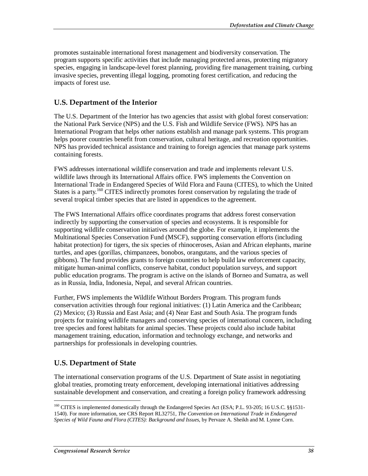promotes sustainable international forest management and biodiversity conservation. The program supports specific activities that include managing protected areas, protecting migratory species, engaging in landscape-level forest planning, providing fire management training, curbing invasive species, preventing illegal logging, promoting forest certification, and reducing the impacts of forest use.

### **U.S. Department of the Interior**

The U.S. Department of the Interior has two agencies that assist with global forest conservation: the National Park Service (NPS) and the U.S. Fish and Wildlife Service (FWS). NPS has an International Program that helps other nations establish and manage park systems. This program helps poorer countries benefit from conservation, cultural heritage, and recreation opportunities. NPS has provided technical assistance and training to foreign agencies that manage park systems containing forests.

FWS addresses international wildlife conservation and trade and implements relevant U.S. wildlife laws through its International Affairs office. FWS implements the Convention on International Trade in Endangered Species of Wild Flora and Fauna (CITES), to which the United States is a party.<sup>160</sup> CITES indirectly promotes forest conservation by regulating the trade of several tropical timber species that are listed in appendices to the agreement.

The FWS International Affairs office coordinates programs that address forest conservation indirectly by supporting the conservation of species and ecosystems. It is responsible for supporting wildlife conservation initiatives around the globe. For example, it implements the Multinational Species Conservation Fund (MSCF), supporting conservation efforts (including habitat protection) for tigers, the six species of rhinoceroses, Asian and African elephants, marine turtles, and apes (gorillas, chimpanzees, bonobos, orangutans, and the various species of gibbons). The fund provides grants to foreign countries to help build law enforcement capacity, mitigate human-animal conflicts, conserve habitat, conduct population surveys, and support public education programs. The program is active on the islands of Borneo and Sumatra, as well as in Russia, India, Indonesia, Nepal, and several African countries.

Further, FWS implements the Wildlife Without Borders Program. This program funds conservation activities through four regional initiatives: (1) Latin America and the Caribbean; (2) Mexico; (3) Russia and East Asia; and (4) Near East and South Asia. The program funds projects for training wildlife managers and conserving species of international concern, including tree species and forest habitats for animal species. These projects could also include habitat management training, education, information and technology exchange, and networks and partnerships for professionals in developing countries.

### **U.S. Department of State**

The international conservation programs of the U.S. Department of State assist in negotiating global treaties, promoting treaty enforcement, developing international initiatives addressing sustainable development and conservation, and creating a foreign policy framework addressing

<sup>-</sup><sup>160</sup> CITES is implemented domestically through the Endangered Species Act (ESA; P.L. 93-205; 16 U.S.C. §§1531-1540). For more information, see CRS Report RL32751, *The Convention on International Trade in Endangered Species of Wild Fauna and Flora (CITES): Background and Issues*, by Pervaze A. Sheikh and M. Lynne Corn.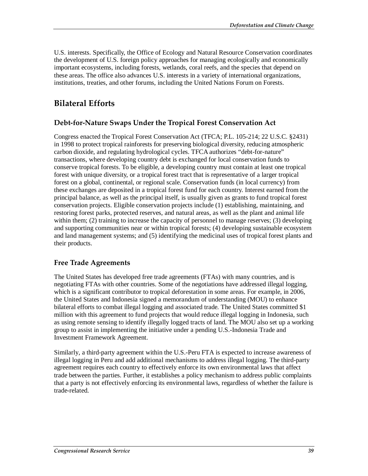U.S. interests. Specifically, the Office of Ecology and Natural Resource Conservation coordinates the development of U.S. foreign policy approaches for managing ecologically and economically important ecosystems, including forests, wetlands, coral reefs, and the species that depend on these areas. The office also advances U.S. interests in a variety of international organizations, institutions, treaties, and other forums, including the United Nations Forum on Forests.

## **Bilateral Efforts**

### **Debt-for-Nature Swaps Under the Tropical Forest Conservation Act**

Congress enacted the Tropical Forest Conservation Act (TFCA; P.L. 105-214; 22 U.S.C. §2431) in 1998 to protect tropical rainforests for preserving biological diversity, reducing atmospheric carbon dioxide, and regulating hydrological cycles. TFCA authorizes "debt-for-nature" transactions, where developing country debt is exchanged for local conservation funds to conserve tropical forests. To be eligible, a developing country must contain at least one tropical forest with unique diversity, or a tropical forest tract that is representative of a larger tropical forest on a global, continental, or regional scale. Conservation funds (in local currency) from these exchanges are deposited in a tropical forest fund for each country. Interest earned from the principal balance, as well as the principal itself, is usually given as grants to fund tropical forest conservation projects. Eligible conservation projects include (1) establishing, maintaining, and restoring forest parks, protected reserves, and natural areas, as well as the plant and animal life within them; (2) training to increase the capacity of personnel to manage reserves; (3) developing and supporting communities near or within tropical forests; (4) developing sustainable ecosystem and land management systems; and (5) identifying the medicinal uses of tropical forest plants and their products.

### **Free Trade Agreements**

The United States has developed free trade agreements (FTAs) with many countries, and is negotiating FTAs with other countries. Some of the negotiations have addressed illegal logging, which is a significant contributor to tropical deforestation in some areas. For example, in 2006, the United States and Indonesia signed a memorandum of understanding (MOU) to enhance bilateral efforts to combat illegal logging and associated trade. The United States committed \$1 million with this agreement to fund projects that would reduce illegal logging in Indonesia, such as using remote sensing to identify illegally logged tracts of land. The MOU also set up a working group to assist in implementing the initiative under a pending U.S.-Indonesia Trade and Investment Framework Agreement.

Similarly, a third-party agreement within the U.S.-Peru FTA is expected to increase awareness of illegal logging in Peru and add additional mechanisms to address illegal logging. The third-party agreement requires each country to effectively enforce its own environmental laws that affect trade between the parties. Further, it establishes a policy mechanism to address public complaints that a party is not effectively enforcing its environmental laws, regardless of whether the failure is trade-related.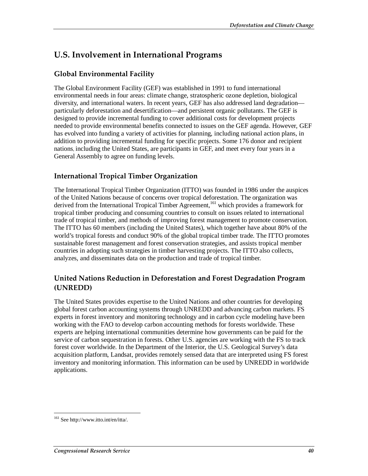## **U.S. Involvement in International Programs**

### **Global Environmental Facility**

The Global Environment Facility (GEF) was established in 1991 to fund international environmental needs in four areas: climate change, stratospheric ozone depletion, biological diversity, and international waters. In recent years, GEF has also addressed land degradation particularly deforestation and desertification—and persistent organic pollutants. The GEF is designed to provide incremental funding to cover additional costs for development projects needed to provide environmental benefits connected to issues on the GEF agenda. However, GEF has evolved into funding a variety of activities for planning, including national action plans, in addition to providing incremental funding for specific projects. Some 176 donor and recipient nations, including the United States, are participants in GEF, and meet every four years in a General Assembly to agree on funding levels.

### **International Tropical Timber Organization**

The International Tropical Timber Organization (ITTO) was founded in 1986 under the auspices of the United Nations because of concerns over tropical deforestation. The organization was derived from the International Tropical Timber Agreement,<sup>161</sup> which provides a framework for tropical timber producing and consuming countries to consult on issues related to international trade of tropical timber, and methods of improving forest management to promote conservation. The ITTO has 60 members (including the United States), which together have about 80% of the world's tropical forests and conduct 90% of the global tropical timber trade. The ITTO promotes sustainable forest management and forest conservation strategies, and assists tropical member countries in adopting such strategies in timber harvesting projects. The ITTO also collects, analyzes, and disseminates data on the production and trade of tropical timber.

### **United Nations Reduction in Deforestation and Forest Degradation Program (UNREDD)**

The United States provides expertise to the United Nations and other countries for developing global forest carbon accounting systems through UNREDD and advancing carbon markets. FS experts in forest inventory and monitoring technology and in carbon cycle modeling have been working with the FAO to develop carbon accounting methods for forests worldwide. These experts are helping international communities determine how governments can be paid for the service of carbon sequestration in forests. Other U.S. agencies are working with the FS to track forest cover worldwide. In the Department of the Interior, the U.S. Geological Survey's data acquisition platform, Landsat, provides remotely sensed data that are interpreted using FS forest inventory and monitoring information. This information can be used by UNREDD in worldwide applications.

<sup>-</sup><sup>161</sup> See http://www.itto.int/en/itta/.